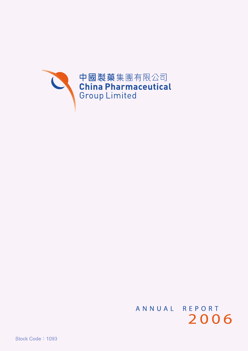

ANNUAL REPORT 2006

Stock Code: 1093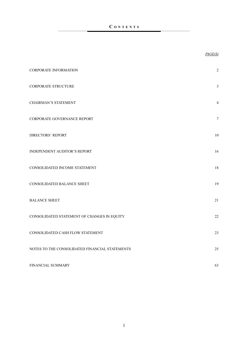# **C O N T E N T S**

# *PAGE(S)*

| <b>CORPORATE INFORMATION</b>                   | $\overline{2}$   |
|------------------------------------------------|------------------|
| CORPORATE STRUCTURE                            | $\mathfrak{Z}$   |
| <b>CHAIRMAN'S STATEMENT</b>                    | $\overline{4}$   |
| CORPORATE GOVERNANCE REPORT                    | $\boldsymbol{7}$ |
| <b>DIRECTORS' REPORT</b>                       | 10               |
| <b>INDEPENDENT AUDITOR'S REPORT</b>            | 16               |
| CONSOLIDATED INCOME STATEMENT                  | 18               |
| CONSOLIDATED BALANCE SHEET                     | 19               |
| <b>BALANCE SHEET</b>                           | 21               |
| CONSOLIDATED STATEMENT OF CHANGES IN EQUITY    | 22               |
| CONSOLIDATED CASH FLOW STATEMENT               | 23               |
| NOTES TO THE CONSOLIDATED FINANCIAL STATEMENTS | 25               |
| FINANCIAL SUMMARY                              | 63               |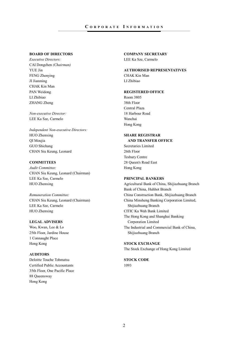## **C ORPORATE I N F O R M A T I O N**

## **BOARD OF DIRECTORS**

*Executive Directors:*  CAI Dongchen *(Chairman)* YUE Jin FENG Zhenying JI Jianming CHAK Kin Man PAN Weidong LI Zhibiao ZHANG Zheng

*Non-executive Director:*  LEE Ka Sze, Carmelo

*Independent Non-executive Directors:*  HUO Zhenxing QI Moujia GUO Shichang CHAN Siu Keung, Leonard

# **COMMITTEES**

*Audit Committee:*  CHAN Siu Keung, Leonard (Chairman) LEE Ka Sze, Carmelo HUO Zhenxing

*Remuneration Committee:*  CHAN Siu Keung, Leonard (Chairman) LEE Ka Sze, Carmelo HUO Zhenxing

## **LEGAL ADVISERS**

Woo, Kwan, Lee & Lo 25th Floor, Jardine House 1 Connaught Place Hong Kong

## **AUDITORS**

Deloitte Touche Tohmatsu Certified Public Accountants 35th Floor, One Pacific Place 88 Queensway Hong Kong

## **COMPANY SECRETARY**  LEE Ka Sze, Carmelo

#### **AUTHORISED REPRESENTATIVES**

CHAK Kin Man LI Zhibiao

# **REGISTERED OFFICE**

Room 3805 38th Floor Central Plaza 18 Harbour Road Wanchai Hong Kong

# **SHARE REGISTRAR AND TRANSFER OFFICE**

Secretaries Limited 26th Floor Tesbury Centre 28 Queen's Road East Hong Kong

#### **PRINCIPAL BANKERS**

Agricultural Bank of China, Shijiazhuang Branch Bank of China, Huhhot Branch China Construction Bank, Shijiazhuang Branch China Minsheng Banking Corporation Limited, Shijiazhuang Branch CITIC Ka Wah Bank Limited The Hong Kong and Shanghai Banking Corporation Limited The Industrial and Commercial Bank of China, Shijiazhuang Branch

## **STOCK EXCHANGE**

The Stock Exchange of Hong Kong Limited

## **STOCK CODE**  1093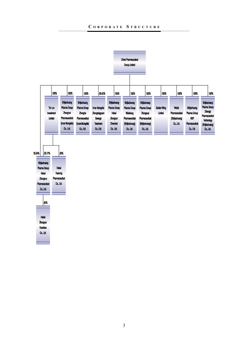

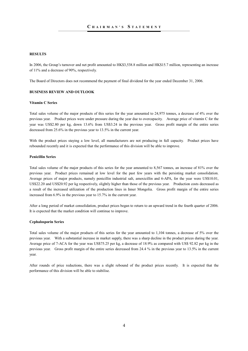## **RESULTS**

In 2006, the Group's turnover and net profit amounted to HK\$3,538.8 million and HK\$15.7 million, representing an increase of 11% and a decrease of 90%, respectively.

The Board of Directors does not recommend the payment of final dividend for the year ended December 31, 2006.

## **BUSINESS REVIEW AND OUTLOOK**

#### **Vitamin C Series**

Total sales volume of the major products of this series for the year amounted to 24,975 tonnes, a decrease of 4% over the previous year. Product prices were under pressure during the year due to overcapacity. Average price of vitamin C for the year was US\$2.80 per kg, down 13.6% from US\$3.24 in the previous year. Gross profit margin of the entire series decreased from 25.6% in the previous year to 13.5% in the current year.

With the product prices staying a low level, all manufacturers are not producing in full capacity. Product prices have rebounded recently and it is expected that the performance of this division will be able to improve.

## **Penicillin Series**

Total sales volume of the major products of this series for the year amounted to 8,567 tonnes, an increase of 81% over the previous year. Product prices remained at low level for the past few years with the persisting market consolidation. Average prices of major products, namely penicillin industrial salt, amoxicillin and 6-APA, for the year were US\$10.01, US\$22.20 and US\$20.92 per kg respectively, slightly higher than those of the previous year. Production costs decreased as a result of the increased utilization of the production lines in Inner Mongolia. Gross profit margin of the entire series increased from 6.9% in the previous year to 15.7% in the current year.

After a long period of market consolidation, product prices began to return to an upward trend in the fourth quarter of 2006. It is expected that the market condition will continue to improve.

#### **Cephalosporin Series**

Total sales volume of the major products of this series for the year amounted to 1,104 tonnes, a decrease of 5% over the previous year. With a substantial increase in market supply, there was a sharp decline in the product prices during the year. Average price of 7-ACA for the year was US\$75.25 per kg, a decrease of 18.9% as compared with US\$ 92.82 per kg in the previous year. Gross profit margin of the entire series decreased from 24.4 % in the previous year to 13.5% in the current year.

After rounds of price reductions, there was a slight rebound of the product prices recently. It is expected that the performance of this division will be able to stabilise.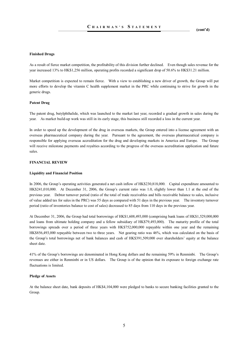#### **Finished Drugs**

As a result of fierce market competition, the profitability of this division further declined. Even though sales revenue for the year increased 13% to HK\$1,256 million, operating profits recorded a significant drop of 50.6% to HK\$31.21 million.

Market competition is expected to remain fierce. With a view to establishing a new driver of growth, the Group will put more efforts to develop the vitamin C health supplement market in the PRC while continuing to strive for growth in the generic drugs.

## **Patent Drug**

The patent drug, butylphthalide, which was launched to the market last year, recorded a gradual growth in sales during the year. As market build-up work was still in its early stage, this business still recorded a loss in the current year.

In order to speed up the development of the drug in overseas markets, the Group entered into a license agreement with an overseas pharmaceutical company during the year. Pursuant to the agreement, the overseas pharmaceutical company is responsible for applying overseas accreditation for the drug and developing markets in America and Europe. The Group will receive milestone payments and royalties according to the progress of the overseas accreditation application and future sales.

# **FINANCIAL REVIEW**

#### **Liquidity and Financial Position**

In 2006, the Group's operating activities generated a net cash inflow of HK\$230,818,000. Capital expenditure amounted to HK\$241,010,000. At December 31, 2006, the Group's current ratio was 1.0, slightly lower than 1.1 at the end of the previous year. Debtor turnover period (ratio of the total of trade receivables and bills receivable balance to sales, inclusive of value added tax for sales in the PRC) was 55 days as compared with 51 days in the previous year. The inventory turnover period (ratio of inventories balance to cost of sales) decreased to 85 days from 110 days in the previous year.

At December 31, 2006, the Group had total borrowings of HK\$1,608,493,000 (comprising bank loans of HK\$1,529,000,000 and loans from ultimate holding company and a fellow subsidiary of HK\$79,493,000). The maturity profile of the total borrowings spreads over a period of three years with HK\$752,000,000 repayable within one year and the remaining HK\$856,493,000 repayable between two to three years. Net gearing ratio was 46%, which was calculated on the basis of the Group's total borrowings net of bank balances and cash of HK\$391,509,000 over shareholders' equity at the balance sheet date.

41% of the Group's borrowings are denominated in Hong Kong dollars and the remaining 59% in Renminbi. The Group's revenues are either in Renminbi or in US dollars. The Group is of the opinion that its exposure to foreign exchange rate fluctuations is limited.

#### **Pledge of Assets**

At the balance sheet date, bank deposits of HK\$4,104,000 were pledged to banks to secure banking facilities granted to the Group.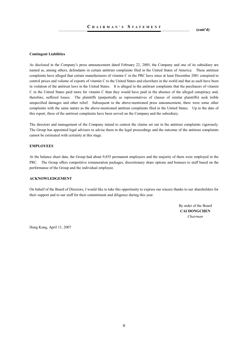#### **Contingent Liabilities**

As disclosed in the Company's press announcement dated February 22, 2005, the Company and one of its subsidiary are named as, among others, defendants in certain antitrust complaints filed in the United States of America. These antitrust complaints have alleged that certain manufacturers of vitamin C in the PRC have since at least December 2001 conspired to control prices and volume of exports of vitamin C to the United States and elsewhere in the world and that as such have been in violation of the antitrust laws in the United States. It is alleged in the antitrust complaints that the purchasers of vitamin C in the United States paid more for vitamin C than they would have paid in the absence of the alleged conspiracy and, therefore, suffered losses. The plaintiffs (purportedly as representatives of classes of similar plaintiffs) seek treble unspecified damages and other relief. Subsequent to the above-mentioned press announcement, there were some other complaints with the same nature as the above-mentioned antitrust complaints filed in the United States. Up to the date of this report, three of the antitrust complaints have been served on the Company and the subsidiary.

The directors and management of the Company intend to contest the claims set out in the antitrust complaints vigorously. The Group has appointed legal advisers to advise them in the legal proceedings and the outcome of the antitrust complaints cannot be estimated with certainty at this stage.

## **EMPLOYEES**

At the balance sheet date, the Group had about 9,855 permanent employees and the majority of them were employed in the PRC. The Group offers competitive remuneration packages, discretionary share options and bonuses to staff based on the performance of the Group and the individual employee.

## **ACKNOWLEDGEMENT**

On behalf of the Board of Directors, I would like to take this opportunity to express our sincere thanks to our shareholders for their support and to our staff for their commitment and diligence during this year.

> By order of the Board **CAI DONGCHEN**  *Chairman*

Hong Kong, April 11, 2007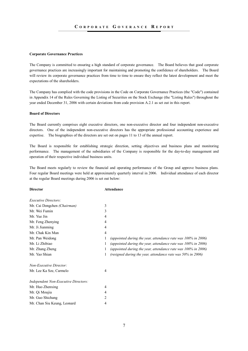#### **Corporate Governance Practices**

The Company is committed to ensuring a high standard of corporate governance. The Board believes that good corporate governance practices are increasingly important for maintaining and promoting the confidence of shareholders. The Board will review its corporate governance practices from time to time to ensure they reflect the latest development and meet the expectations of the shareholders.

The Company has complied with the code provisions in the Code on Corporate Governance Practices (the "Code") contained in Appendix 14 of the Rules Governing the Listing of Securities on the Stock Exchange (the "Listing Rules") throughout the year ended December 31, 2006 with certain deviations from code provision A.2.1 as set out in this report.

## **Board of Directors**

The Board currently comprises eight executive directors, one non-executive director and four independent non-executive directors. One of the independent non-executive directors has the appropriate professional accounting experience and expertise. The biographies of the directors are set out on pages 11 to 13 of the annual report.

The Board is responsible for establishing strategic direction, setting objectives and business plans and monitoring performance. The management of the subsidiaries of the Company is responsible for the day-to-day management and operation of their respective individual business units.

The Board meets regularly to review the financial and operating performance of the Group and approve business plans. Four regular Board meetings were held at approximately quarterly interval in 2006. Individual attendance of each director at the regular Board meetings during 2006 is set out below:

| <b>Director</b>                      | <b>Attendance</b>                                                  |
|--------------------------------------|--------------------------------------------------------------------|
|                                      |                                                                    |
| <i>Executive Directors:</i>          |                                                                    |
| Mr. Cai Dongchen (Chairman)          | 3                                                                  |
| Mr. Wei Fumin                        | 3                                                                  |
| Mr. Yue Jin                          | 4                                                                  |
| Mr. Feng Zhenying                    | 4                                                                  |
| Mr. Ji Jianming                      | 4                                                                  |
| Mr. Chak Kin Man                     | 4                                                                  |
| Mr. Pan Weidong                      | (appointed during the year, attendance rate was $100\%$ in 2006)   |
| Mr. Li Zhibiao                       | (appointed during the year, attendance rate was $100\%$ in 2006)   |
| Mr. Zhang Zheng                      | (appointed during the year, attendance rate was 100% in 2006)<br>1 |
| Mr. Yao Shian                        | (resigned during the year, attendance rate was 50% in 2006)        |
| Non-Executive Director:              |                                                                    |
| Mr. Lee Ka Sze, Carmelo              | 4                                                                  |
| Independent Non-Executive Directors: |                                                                    |
| Mr. Huo Zhenxing                     | 4                                                                  |
| Mr. Qi Moujia                        | 4                                                                  |
| Mr. Guo Shichang                     | 2                                                                  |
| Mr. Chan Siu Keung, Leonard          | 4                                                                  |
|                                      |                                                                    |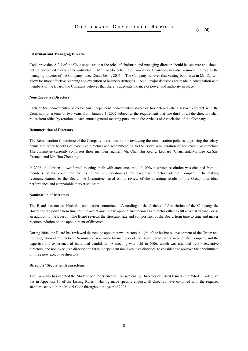#### **Chairman and Managing Director**

Code provision A.2.1 of the Code stipulates that the roles of chairman and managing director should be separate and should not be performed by the same individual. Mr. Cai Dongchen, the Company's Chairman, has also assumed the role as the managing director of the Company since December 1, 2005. The Company believes that vesting both roles in Mr. Cai will allow for more effective planning and execution of business strategies. As all major decisions are made in consultation with members of the Board, the Company believes that there is adequate balance of power and authority in place.

#### **Non-Executive Directors**

Each of the non-executive director and independent non-executive directors has entered into a service contract with the Company for a term of two years from January 1, 2007 subject to the requirement that one-third of all the directors shall retire from office by rotation at each annual general meeting pursuant to the Articles of Association of the Company.

#### **Remuneration of Directors**

The Remuneration Committee of the Company is responsible for reviewing the remuneration policies, approving the salary, bonus and other benefits of executive directors and recommending to the Board remuneration of non-executive directors. The committee currently comprises three members, namely Mr. Chan Siu Keung, Leonard (Chairman), Mr. Lee Ka Sze, Carmelo and Mr. Huo Zhenxing.

In 2006, in addition to two formal meetings both with attendance rate of 100%, a written resolution was obtained from all members of the committee for fixing the remuneration of the executive directors of the Company. In making recommendations to the Board, the Committee based on its review of the operating results of the Group, individual performance and comparable market statistics.

#### **Nomination of Directors**

The Board has not established a nomination committee. According to the Articles of Association of the Company, the Board has the power from time to time and at any time to appoint any person as a director either to fill a casual vacancy or as an addition to the Board. The Board reviews the structure, size and composition of the Board from time to time and makes recommendation on the appointment of directors.

During 2006, the Board has reviewed the need to appoint new directors in light of the business development of the Group and the resignation of a director. Nomination was made by members of the Board based on the need of the Company and the expertise and experience of individual candidate. A meeting was held in 2006, which was attended by six executive directors, one non-executive director and three independent non-executive directors, to consider and approve the appointment of three new executive directors.

#### **Directors' Securities Transactions**

The Company has adopted the Model Code for Securities Transactions by Directors of Listed Issuers (the "Model Code") set out in Appendix 10 of the Listing Rules. Having made specific enquiry, all directors have complied with the required standard set out in the Model Code throughout the year of 2006.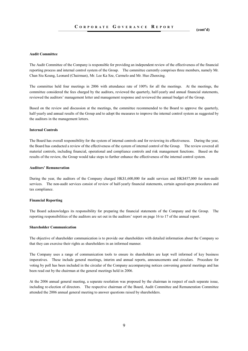#### **Audit Committee**

The Audit Committee of the Company is responsible for providing an independent review of the effectiveness of the financial reporting process and internal control system of the Group. The committee currently comprises three members, namely Mr. Chan Siu Keung, Leonard (Chairman), Mr. Lee Ka Sze, Carmelo and Mr. Huo Zhenxing.

The committee held four meetings in 2006 with attendance rate of 100% for all the meetings. At the meetings, the committee considered the fees charged by the auditors, reviewed the quarterly, half-yearly and annual financial statements, reviewed the auditors' management letter and management response and reviewed the annual budget of the Group.

Based on the review and discussion at the meetings, the committee recommended to the Board to approve the quarterly, half-yearly and annual results of the Group and to adopt the measures to improve the internal control system as suggested by the auditors in the management letters.

#### **Internal Controls**

The Board has overall responsibility for the system of internal controls and for reviewing its effectiveness. During the year, the Board has conducted a review of the effectiveness of the system of internal control of the Group. The review covered all material controls, including financial, operational and compliance controls and risk management functions. Based on the results of the review, the Group would take steps to further enhance the effectiveness of the internal control system.

#### **Auditors' Remuneration**

During the year, the auditors of the Company charged HK\$1,600,000 for audit services and HK\$457,000 for non-audit services. The non-audit services consist of review of half-yearly financial statements, certain agreed-upon procedures and tax compliance.

## **Financial Reporting**

The Board acknowledges its responsibility for preparing the financial statements of the Company and the Group. The reporting responsibilities of the auditors are set out in the auditors' report on page 16 to 17 of the annual report.

#### **Shareholder Communication**

The objective of shareholder communication is to provide our shareholders with detailed information about the Company so that they can exercise their rights as shareholders in an informed manner.

The Company uses a range of communication tools to ensure its shareholders are kept well informed of key business imperatives. These include general meetings, interim and annual reports, announcements and circulars. Procedure for voting by poll has been included in the circular of the Company accompanying notices convening general meetings and has been read out by the chairman at the general meetings held in 2006.

At the 2006 annual general meeting, a separate resolution was proposed by the chairman in respect of each separate issue, including re-election of directors. The respective chairman of the Board, Audit Committee and Remuneration Committee attended the 2006 annual general meeting to answer questions raised by shareholders.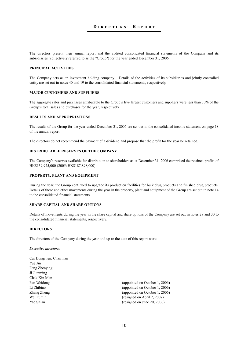The directors present their annual report and the audited consolidated financial statements of the Company and its subsidiaries (collectively referred to as the "Group") for the year ended December 31, 2006.

## **PRINCIPAL ACTIVITIES**

The Company acts as an investment holding company. Details of the activities of its subsidiaries and jointly controlled entity are set out in notes 40 and 19 to the consolidated financial statements, respectively.

#### **MAJOR CUSTOMERS AND SUPPLIERS**

The aggregate sales and purchases attributable to the Group's five largest customers and suppliers were less than 30% of the Group's total sales and purchases for the year, respectively.

## **RESULTS AND APPROPRIATIONS**

The results of the Group for the year ended December 31, 2006 are set out in the consolidated income statement on page 18 of the annual report.

The directors do not recommend the payment of a dividend and propose that the profit for the year be retained.

## **DISTRIBUTABLE RESERVES OF THE COMPANY**

The Company's reserves available for distribution to shareholders as at December 31, 2006 comprised the retained profits of HK\$139,975,000 (2005: HK\$187,898,000).

## **PROPERTY, PLANT AND EQUIPMENT**

During the year, the Group continued to upgrade its production facilities for bulk drug products and finished drug products. Details of these and other movements during the year in the property, plant and equipment of the Group are set out in note 14 to the consolidated financial statements.

## **SHARE CAPITAL AND SHARE OPTIONS**

Details of movements during the year in the share capital and share options of the Company are set out in notes 29 and 30 to the consolidated financial statements, respectively.

#### **DIRECTORS**

The directors of the Company during the year and up to the date of this report were:

*Executive directors:* 

Cai Dongchen, Chairman Yue Jin Feng Zhenying Ji Jianming Chak Kin Man

Pan Weidong (appointed on October 1, 2006) Li Zhibiao (appointed on October 1, 2006) Zhang Zheng (appointed on October 1, 2006) Wei Fumin (resigned on April 2, 2007) Yao Shian (resigned on June 20, 2006)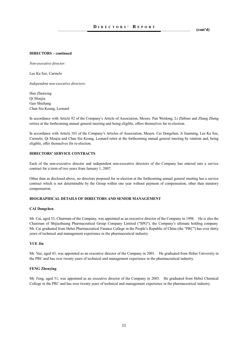## **DIRECTORS – continued**

*Non-executive director:* 

Lee Ka Sze, Carmelo

*Independent non-executive directors:* 

Huo Zhenxing Qi Moujia Guo Shichang Chan Siu Keung, Leonard

In accordance with Article 92 of the Company's Article of Association, Messrs. Pan Weidong, Li Zhibiao and Zhang Zheng retires at the forthcoming annual general meeting and being eligible, offers themselves for re-election.

In accordance with Article 101 of the Company's Articles of Association, Messrs. Cai Dongchen, Ji Jianming, Lee Ka Sze, Carmelo, Qi Moujia and Chan Siu Keung, Leonard retire at the forthcoming annual general meeting by rotation and, being eligible, offer themselves for re-election.

## **DIRECTORS' SERVICE CONTRACTS**

Each of the non-executive director and independent non-executive directors of the Company has entered into a service contract for a term of two years from January 1, 2007.

Other than as disclosed above, no directors proposed for re-election at the forthcoming annual general meeting has a service contract which is not determinable by the Group within one year without payment of compensation, other than statutory compensation.

#### **BIOGRAPHICAL DETAILS OF DIRECTORS AND SENIOR MANAGEMENT**

#### **CAI Dongchen**

Mr. Cai, aged 53, Chairman of the Company, was appointed as an executive director of the Company in 1998. He is also the Chairman of Shijiazhuang Pharmaceutical Group Company Limited ("SPG"), the Company's ultimate holding company. Mr. Cai graduated from Hebei Pharmaceutical Finance College in the People's Republic of China (the "PRC") has over thirty years of technical and management experience in the pharmaceutical industry.

# **YUE Jin**

Mr. Yue, aged 43, was appointed as an executive director of the Company in 2001. He graduated from Hebei University in the PRC and has over twenty years of technical and management experience in the pharmaceutical industry.

#### **FENG Zhenying**

Mr. Feng, aged 51, was appointed as an executive director of the Company in 2003. He graduated from Hebei Chemical College in the PRC and has over twenty years of technical and management experience in the pharmaceutical industry.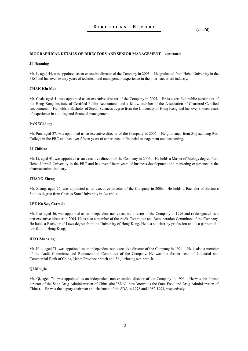#### **BIOGRAPHICAL DETAILS OF DIRECTORS AND SENIOR MANAGEMENT – continued**

#### **JI Jianming**

Mr. Ji, aged 44, was appointed as an executive director of the Company in 2005. He graduated from Hebei University in the PRC and has over twenty years of technical and management experience in the pharmaceutical industry.

## **CHAK Kin Man**

Mr. Chak, aged 41 was appointed as an executive director of the Company in 2005. He is a certified public accountant of the Hong Kong Institute of Certified Public Accountants and a fellow member of the Association of Chartered Certified Accountants. He holds a Bachelor of Social Sciences degree from the University of Hong Kong and has over sixteen years of experience in auditing and financial management.

#### **PAN Weidong**

Mr. Pan, aged 37, was appointed as an executive director of the Company in 2006. He graduated from Shijiazhuang Post College in the PRC and has over fifteen years of experience in financial management and accounting.

#### **LI Zhibiao**

Mr. Li, aged 43, was appointed as an executive director of the Company in 2006. He holds a Master of Biology degree from Hebei Normal University in the PRC and has over fifteen years of business development and marketing experience in the pharmaceutical industry.

#### **ZHANG Zheng**

Mr. Zhang, aged 26, was appointed as an executive director of the Company in 2006. He holds a Bachelor of Business Studies degree from Charles Sturt University in Australia.

### **LEE Ka Sze, Carmelo**

Mr. Lee, aged 46, was appointed as an independent non-executive director of the Company in 1996 and re-designated as a non-executive director in 2004. He is also a member of the Audit Committee and Remuneration Committee of the Company. He holds a Bachelor of Laws degree from the University of Hong Kong. He is a solicitor by profession and is a partner of a law firm in Hong Kong.

#### **HUO Zhenxing**

Mr. Huo, aged 71, was appointed as an independent non-executive director of the Company in 1994. He is also a member of the Audit Committee and Remuneration Committee of the Company. He was the former head of Industrial and Commercial Bank of China, Hebei Province branch and Shijiazhuang sub-branch.

#### **QI Moujia**

Mr. Qi, aged 74, was appointed as an independent non-executive director of the Company in 1996. He was the former director of the State Drug Administration of China (the "SDA", now known as the State Food and Drug Administration of China). He was the deputy chairman and chairman of the SDA in 1978 and 1982-1994, respectively.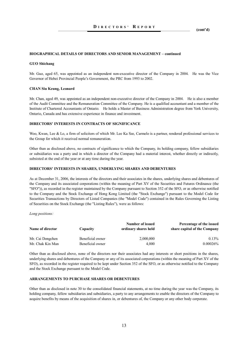#### **BIOGRAPHICAL DETAILS OF DIRECTORS AND SENIOR MANAGEMENT – continued**

#### **GUO Shichang**

Mr. Guo, aged 65, was appointed as an independent non-executive director of the Company in 2004. He was the Vice Governor of Hebei Provincial People's Government, the PRC from 1993 to 2002.

#### **CHAN Siu Keung, Leonard**

Mr. Chan, aged 49, was appointed as an independent non-executive director of the Company in 2004. He is also a member of the Audit Committee and the Remuneration Committee of the Company. He is a qualified accountant and a member of the Institute of Chartered Accountants of Ontario. He holds a Master of Business Administration degree from York University, Ontario, Canada and has extensive experience in finance and investment.

#### **DIRECTORS' INTERESTS IN CONTRACTS OF SIGNIFICANCE**

Woo, Kwan, Lee & Lo, a firm of solicitors of which Mr. Lee Ka Sze, Carmelo is a partner, rendered professional services to the Group for which it received normal remuneration.

Other than as disclosed above, no contracts of significance to which the Company, its holding company, fellow subsidiaries or subsidiaries was a party and in which a director of the Company had a material interest, whether directly or indirectly, subsisted at the end of the year or at any time during the year.

#### **DIRECTORS' INTERESTS IN SHARES, UNDERLYING SHARES AND DEBENTURES**

As at December 31, 2006, the interests of the directors and their associates in the shares, underlying shares and debentures of the Company and its associated corporations (within the meaning of Part XV of the Securities and Futures Ordinance (the "SFO")), as recorded in the register maintained by the Company pursuant to Section 352 of the SFO, or as otherwise notified to the Company and the Stock Exchange of Hong Kong Limited (the "Stock Exchange") pursuant to the Model Code for Securities Transactions by Directors of Listed Companies (the "Model Code") contained in the Rules Governing the Listing of Securities on the Stock Exchange (the "Listing Rules"), were as follows:

*Long positions:* 

| Name of director | Capacity         | Number of issued<br>ordinary shares held | Percentage of the issued<br>share capital of the Company |
|------------------|------------------|------------------------------------------|----------------------------------------------------------|
| Mr. Cai Dongchen | Beneficial owner | 2,000,000                                | $0.13\%$                                                 |
| Mr. Chak Kin Man | Beneficial owner | 4.000                                    | $0.00026\%$                                              |

Other than as disclosed above, none of the directors nor their associates had any interests or short positions in the shares, underlying shares and debentures of the Company or any of its associated corporations (within the meaning of Part XV of the SFO), as recorded in the register required to be kept under Section 352 of the SFO, or as otherwise notified to the Company and the Stock Exchange pursuant to the Model Code.

## **ARRANGEMENTS TO PURCHASE SHARES OR DEBENTURES**

Other than as disclosed in note 30 to the consolidated financial statements, at no time during the year was the Company, its holding company, fellow subsidiaries and subsidiaries, a party to any arrangements to enable the directors of the Company to acquire benefits by means of the acquisition of shares in, or debentures of, the Company or any other body corporate.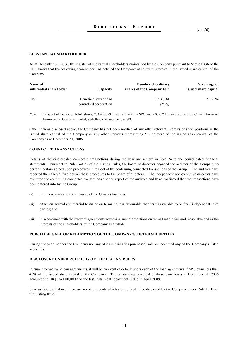## **SUBST**A**NTIAL SHAREHOLDER**

As at December 31, 2006, the register of substantial shareholders maintained by the Company pursuant to Section 336 of the SFO shows that the following shareholder had notified the Company of relevant interests in the issued share capital of the Company.

| Name of                 | Capacity                                       | Number of ordinary         | Percentage of        |
|-------------------------|------------------------------------------------|----------------------------|----------------------|
| substantial shareholder |                                                | shares of the Company held | issued share capital |
| <b>SPG</b>              | Beneficial owner and<br>controlled corporation | 783,316,161<br>(Note)      | 50.93%               |

*Note:* In respect of the 783,316,161 shares, 773,436,399 shares are held by SPG and 9,879,762 shares are held by China Charmaine Pharmaceutical Company Limited, a wholly-owned subsidiary of SPG.

Other than as disclosed above, the Company has not been notified of any other relevant interests or short positions in the issued share capital of the Company or any other interests representing 5% or more of the issued share capital of the Company as at December 31, 2006.

## **CONNECTED TRANSACTIONS**

Details of the discloseable connected transactions during the year are set out in note 24 to the consolidated financial statements. Pursuant to Rule 14A.38 of the Listing Rules, the board of directors engaged the auditors of the Company to perform certain agreed upon procedures in respect of the continuing connected transactions of the Group. The auditors have reported their factual findings on these procedures to the board of directors. The independent non-executive directors have reviewed the continuing connected transactions and the report of the auditors and have confirmed that the transactions have been entered into by the Group:

- (i) in the ordinary and usual course of the Group's business;
- (ii) either on normal commercial terms or on terms no less favourable than terms available to or from independent third parties; and
- (iii) in accordance with the relevant agreements governing such transactions on terms that are fair and reasonable and in the interests of the shareholders of the Company as a whole.

## **PURCHASE, SALE OR REDEMPTION OF THE COMPANY'S LISTED SECURITIES**

During the year, neither the Company nor any of its subsidiaries purchased, sold or redeemed any of the Company's listed securities.

## **DISCLOSURE UNDER RULE 13.18 OF THE LISTING RULES**

Pursuant to two bank loan agreements, it will be an event of default under each of the loan agreements if SPG owns less than 40% of the issued share capital of the Company. The outstanding principal of these bank loans at December 31, 2006 amounted to HK\$654,000,000 and the last instalment repayment is due in April 2009.

Save as disclosed above, there are no other events which are required to be disclosed by the Company under Rule 13.18 of the Listing Rules.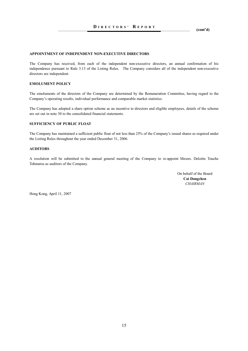## **APPOINTMENT OF INDEPENDENT NON-EXECUTIVE DIRECTORS**

The Company has received, from each of the independent non-executive directors, an annual confirmation of his independence pursuant to Rule 3.13 of the Listing Rules. The Company considers all of the independent non-executive directors are independent.

## **EMOLUMENT POLICY**

The emoluments of the directors of the Company are determined by the Remuneration Committee, having regard to the Company's operating results, individual performance and comparable market statistics.

The Company has adopted a share option scheme as an incentive to directors and eligible employees, details of the scheme are set out in note 30 to the consolidated financial statements.

## **SUFFICIENCY OF PUBLIC FLOAT**

The Company has maintained a sufficient public float of not less than 25% of the Company's issued shares as required under the Listing Rules throughout the year ended December 31, 2006.

## **AUDITORS**

A resolution will be submitted to the annual general meeting of the Company to re-appoint Messrs. Deloitte Touche Tohmatsu as auditors of the Company.

> On behalf of the Board **Cai Dongchen**  *CHAIRMAN*

Hong Kong, April 11, 2007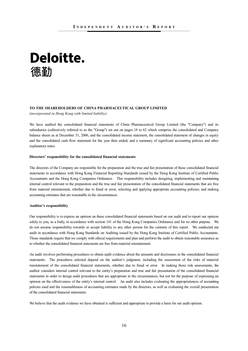

# **TO THE SHAREHOLDERS OF CHINA PHARMACEUTICAL GROUP LIMITED**

*(incorporated in Hong Kong with limited liability)* 

We have audited the consolidated financial statements of China Pharmaceutical Group Limited (the "Company") and its subsidiaries (collectively referred to as the "Group") set out on pages 18 to 62 which comprise the consolidated and Company balance sheets as at December 31, 2006, and the consolidated income statement, the consolidated statement of changes in equity and the consolidated cash flow statement for the year then ended, and a summary of significant accounting policies and other explanatory notes.

#### **Directors' responsibility for the consolidated financial statements**

The directors of the Company are responsible for the preparation and the true and fair presentation of these consolidated financial statements in accordance with Hong Kong Financial Reporting Standards issued by the Hong Kong Institute of Certified Public Accountants and the Hong Kong Companies Ordinance. This responsibility includes designing, implementing and maintaining internal control relevant to the preparation and the true and fair presentation of the consolidated financial statements that are free from material misstatement, whether due to fraud or error; selecting and applying appropriate accounting policies; and making accounting estimates that are reasonable in the circumstances.

#### **Auditor's responsibility**

Our responsibility is to express an opinion on these consolidated financial statements based on our audit and to report our opinion solely to you, as a body, in accordance with section 141 of the Hong Kong Companies Ordinance and for no other purpose. We do not assume responsibility towards or accept liability to any other person for the contents of this report. We conducted our audit in accordance with Hong Kong Standards on Auditing issued by the Hong Kong Institute of Certified Public Accountants. Those standards require that we comply with ethical requirements and plan and perform the audit to obtain reasonable assurance as to whether the consolidated financial statements are free from material misstatement.

An audit involves performing procedures to obtain audit evidence about the amounts and disclosures in the consolidated financial statements. The procedures selected depend on the auditor's judgment, including the assessment of the risks of material misstatement of the consolidated financial statements, whether due to fraud or error. In making those risk assessments, the auditor considers internal control relevant to the entity's preparation and true and fair presentation of the consolidated financial statements in order to design audit procedures that are appropriate in the circumstances, but not for the purpose of expressing an opinion on the effectiveness of the entity's internal control. An audit also includes evaluating the appropriateness of accounting policies used and the reasonableness of accounting estimates made by the directors, as well as evaluating the overall presentation of the consolidated financial statements.

We believe that the audit evidence we have obtained is sufficient and appropriate to provide a basis for our audit opinion.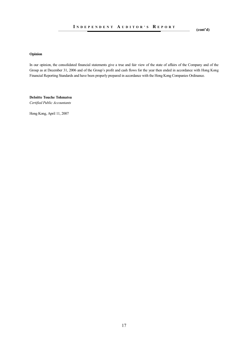## **Opinion**

In our opinion, the consolidated financial statements give a true and fair view of the state of affairs of the Company and of the Group as at December 31, 2006 and of the Group's profit and cash flows for the year then ended in accordance with Hong Kong Financial Reporting Standards and have been properly prepared in accordance with the Hong Kong Companies Ordinance.

# **Deloitte Touche Tohmatsu**

*Certified Public Accountants* 

Hong Kong, April 11, 2007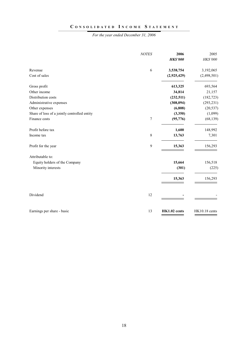# **C ONSOLIDATED I NCOME S T A T E M E N T**

# *For the year ended December 31, 2006*

|                                              | <b>NOTES</b>     | 2006<br><b>HK\$'000</b> | 2005<br>HK\$'000     |
|----------------------------------------------|------------------|-------------------------|----------------------|
| Revenue                                      | 6                | 3,538,754               | 3,192,065            |
| Cost of sales                                |                  | (2,925,429)             | (2,498,501)          |
| Gross profit                                 |                  | 613,325                 | 693,564              |
| Other income                                 |                  | 34,814                  | 21,157               |
| Distribution costs                           |                  | (232, 511)              | (182, 723)           |
| Administrative expenses                      |                  | (308, 094)              | (293, 231)           |
| Other expenses                               |                  | (6,808)                 | (20, 537)            |
| Share of loss of a jointly controlled entity |                  | (3,350)                 | (1,099)              |
| Finance costs                                | $\boldsymbol{7}$ | (95, 776)               | (68, 139)            |
| Profit before tax                            |                  | 1,600                   | 148,992              |
| Income tax                                   | 8                | 13,763                  | 7,301                |
| Profit for the year                          | 9                | 15,363                  | 156,293              |
| Attributable to:                             |                  |                         |                      |
| Equity holders of the Company                |                  | 15,664                  | 156,518              |
| Minority interests                           |                  | (301)                   | (225)                |
|                                              |                  | 15,363                  | 156,293              |
| Dividend                                     | 12               |                         |                      |
| Earnings per share - basic                   | 13               | HK1.02 cents            | <b>HK10.18</b> cents |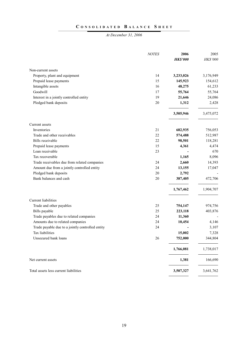# **C ONSOLIDATED B ALANCE S H E E T**

# *At December 31, 2006*

|                                                  | <b>NOTES</b> | 2006<br><b>HK\$'000</b> | 2005<br>HK\$'000 |
|--------------------------------------------------|--------------|-------------------------|------------------|
|                                                  |              |                         |                  |
| Non-current assets                               |              |                         |                  |
| Property, plant and equipment                    | 14           | 3,233,026               | 3,176,949        |
| Prepaid lease payments                           | 15           | 145,923                 | 154,612          |
| Intangible assets                                | 16           | 48,275                  | 61,233           |
| Goodwill                                         | 17           | 55,764                  | 55,764           |
| Interest in a jointly controlled entity          | 19           | 21,646                  | 24,086           |
| Pledged bank deposits                            | 20           | 1,312                   | 2,428            |
|                                                  |              | 3,505,946               | 3,475,072        |
| Current assets                                   |              |                         |                  |
| Inventories                                      | 21           | 682,935                 | 756,053          |
| Trade and other receivables                      | 22           | 574,488                 | 512,987          |
| Bills receivable                                 | 22           | 98,501                  | 118,281          |
| Prepaid lease payments                           | 15           | 4,361                   | 4,474            |
| Loan receivable                                  | 23           |                         | 670              |
| Tax recoverable                                  |              | 1,165                   | 8,096            |
| Trade receivables due from related companies     | 24           | 2,660                   | 14,393           |
| Amount due from a jointly controlled entity      | 24           | 13,155                  | 17,047           |
| Pledged bank deposits                            | 20           | 2,792                   |                  |
| Bank balances and cash                           | 20           | 387,405                 | 472,706          |
|                                                  |              | 1,767,462               | 1,904,707        |
| Current liabilities                              |              |                         |                  |
| Trade and other payables                         | 25           | 754,147                 | 974,756          |
| Bills payable                                    | 25           | 223,118                 | 403,876          |
| Trade payables due to related companies          | 24           | 11,360                  |                  |
| Amounts due to related companies                 | 24           | 10,454                  | 4,146            |
| Trade payable due to a jointly controlled entity | 24           |                         | 3,107            |
| Tax liabilities                                  |              | 15,002                  | 7,328            |
| Unsecured bank loans                             | 26           | 752,000                 | 344,804          |
|                                                  |              | 1,766,081               | 1,738,017        |
| Net current assets                               |              | 1,381                   | 166,690          |
| Total assets less current liabilities            |              | 3,507,327               | 3,641,762        |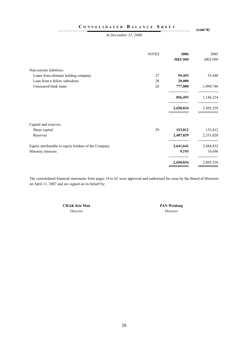# **C ONSOLIDATED B ALANCE S H E E T**

**(cont'd)** 

# *At December 31, 2006*

|                                                      | <b>NOTES</b> | 2006<br><b>HK\$'000</b> | 2005<br>HK\$'000 |
|------------------------------------------------------|--------------|-------------------------|------------------|
| Non-current liabilities                              |              |                         |                  |
| Loans from ultimate holding company                  | 27           | 59,493                  | 55,488           |
| Loan from a fellow subsidiary                        | 28           | 20,000                  |                  |
| Unsecured bank loans                                 | 26           | 777,000                 | 1,090,746        |
|                                                      |              | 856,493                 | 1,146,234        |
|                                                      |              | 2,650,834               | 2,495,528        |
| Capital and reserves                                 |              |                         |                  |
| Share capital                                        | 29           | 153,812                 | 153,812          |
| Reserves                                             |              | 2,487,829               | 2,331,020        |
| Equity attributable to equity holders of the Company |              | 2,641,641               | 2,484,832        |
| Minority interests                                   |              | 9,193                   | 10,696           |
|                                                      |              | 2,650,834               | 2,495,528        |

The consolidated financial statements from pages 18 to 62 were approved and authorised for issue by the Board of Directors on April 11, 2007 and are signed on its behalf by:

**CHAK Kin Man** 

**PAN Weidong**  *Director* 

*Director*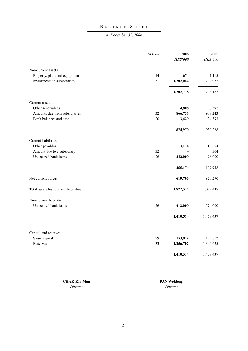**B ALANCE S H E E T** 

# *At December 31, 2006*

|                                       | <b>NOTES</b> | 2006<br><b>HK\$'000</b> | 2005<br>HK\$'000 |
|---------------------------------------|--------------|-------------------------|------------------|
| Non-current assets                    |              |                         |                  |
| Property, plant and equipment         | 14           | 674                     | 1,115            |
| Investments in subsidiaries           | 31           | 1,202,044               | 1,202,052        |
|                                       |              | 1,202,718               | 1,203,167        |
| Current assets                        |              |                         |                  |
| Other receivables                     |              | 4,808                   | 6,592            |
| Amounts due from subsidiaries         | 32           | 866,733                 | 908,243          |
| Bank balances and cash                | 20           | 3,429                   | 24,393           |
|                                       |              | 874,970                 | 939,228          |
| Current liabilities                   |              |                         |                  |
| Other payables                        |              | 13,174                  | 13,654           |
| Amount due to a subsidiary            | 32           |                         | 304              |
| Unsecured bank loans                  | 26           | 242,000                 | 96,000           |
|                                       |              | 255,174                 | 109,958          |
| Net current assets                    |              | 619,796                 | 829,270          |
| Total assets less current liabilities |              | 1,822,514               | 2,032,437        |
| Non-current liability                 |              |                         |                  |
| Unsecured bank loans                  | 26           | 412,000                 | 574,000          |
|                                       |              | 1,410,514               | 1,458,437        |
|                                       |              |                         |                  |
| Capital and reserves                  |              |                         |                  |
| Share capital                         | 29           | 153,812                 | 153,812          |
| Reserves                              | 33           | 1,256,702               | 1,304,625        |
|                                       |              | 1,410,514               | 1,458,437        |

**CHAK Kin Man**  *Director* 

**PAN Weidong**  *Director*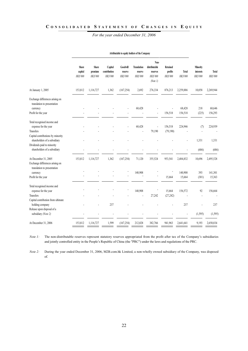# **C ONSOLIDATED S TATEMENT OF C HANGES IN E Q U I T Y**

# *For the year ended December 31, 2006*

|                                                                                                       | <b>Share</b><br>capital<br>HK\$'000 | Share<br>premium<br>HK\$'000 | Capital<br>contribution<br>HK\$'000 | Goodwill<br>reserve<br>HK\$'000 | <b>Translation</b><br>reserve<br>HK\$'000 | Non-<br>distributable<br>reserves<br>HK\$'000<br>(Note 1) | <b>Retained</b><br>profits<br>HK\$'000 | Total<br>HK\$'000 | Minority<br>interests<br>HK\$'000 | Total<br>HK\$'000 |
|-------------------------------------------------------------------------------------------------------|-------------------------------------|------------------------------|-------------------------------------|---------------------------------|-------------------------------------------|-----------------------------------------------------------|----------------------------------------|-------------------|-----------------------------------|-------------------|
| At January 1, 2005                                                                                    | 153,812                             | 1,116,727                    | 1,362                               | (167, 254)                      | 2,692                                     | 276,334                                                   | 876,213                                | 2,259,886         | 10,058                            | 2,269,944         |
| Exchange differences arising on<br>translation to presentation<br>currency<br>Profit for the year     |                                     |                              |                                     |                                 | 68,428                                    |                                                           | 156,518                                | 68,428<br>156,518 | 218<br>(225)                      | 68,646<br>156,293 |
| Total recognised income and<br>expense for the year<br>Transfers<br>Capital contributions by minority |                                     |                              |                                     |                                 | 68,428                                    | $\blacksquare$<br>79,190                                  | 156,518<br>(79, 190)                   | 224,946           | (7)                               | 224,939           |
| shareholders of a subsidiary<br>Dividends paid to minority<br>shareholders of a subsidiary            |                                     |                              |                                     |                                 |                                           |                                                           |                                        | í,                | 1,331<br>(686)                    | 1,331<br>(686)    |
| At December 31, 2005<br>Exchange differences arising on<br>translation to presentation                | 153,812                             | 1,116,727                    | 1,362                               | (167, 254)                      | 71,120                                    | 355,524                                                   | 953,541                                | 2,484,832         | 10,696                            | 2,495,528         |
| currency<br>Profit for the year                                                                       |                                     |                              |                                     |                                 | 140,908                                   |                                                           | 15,664                                 | 140,908<br>15,664 | 393<br>(301)                      | 141,301<br>15,363 |
| Total recognised income and<br>expense for the year<br>Transfers                                      |                                     |                              |                                     |                                 | 140,908                                   | 27,242                                                    | 15,664<br>(27, 242)                    | 156,572           | 92                                | 156,664<br>÷,     |
| Capital contribution from ultimate<br>holding company<br>Release upon disposal of a                   |                                     |                              | 237                                 |                                 |                                           |                                                           |                                        | 237               |                                   | 237               |
| subsidiary (Note 2)                                                                                   |                                     |                              |                                     |                                 |                                           |                                                           |                                        |                   | (1,595)                           | (1, 595)          |
| At December 31, 2006                                                                                  | 153,812                             | 1,116,727                    | 1,599                               | (167, 254)                      | 212,028                                   | 382,766                                                   | 941,963                                | 2,641,641         | 9,193                             | 2,650,834         |

**Attributable to equity holders of the Company** 

*Note 1*: The non-distributable reserves represent statutory reserves appropriated from the profit after tax of the Company's subsidiaries and jointly controlled entity in the People's Republic of China (the "PRC") under the laws and regulations of the PRC.

*Note 2:* During the year ended December 31, 2006, M2B.com.hk Limited, a non-wholly owned subsidiary of the Company, was disposed of.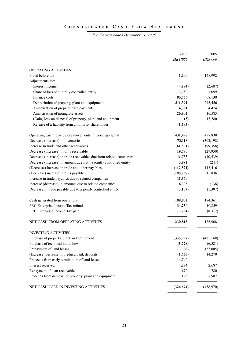# **C ONSOLIDATED C ASH F LOW S T A T E M E N T**

*For the year ended December 31, 2006* 

|                                                                     | 2006            | 2005       |
|---------------------------------------------------------------------|-----------------|------------|
|                                                                     | <b>HK\$'000</b> | HK\$'000   |
| <b>OPERATING ACTIVITIES</b>                                         |                 |            |
| Profit before tax                                                   | 1,600           | 148,992    |
| Adjustments for:                                                    |                 |            |
| Interest income                                                     | (4, 284)        | (2,687)    |
| Share of loss of a jointly controlled entity                        | 3,350           | 1,099      |
| Finance costs                                                       | 95,776          | 68,139     |
| Depreciation of property, plant and equipment                       | 311,391         | 245,456    |
| Amortisation of prepaid lease payments                              | 4,361           | 4,474      |
| Amortisation of intangible assets                                   | 20,902          | 16,585     |
| (Gain) loss on disposal of property, plant and equipment            | (3)             | 15,780     |
| Release of a liability from a minority shareholder                  | (1, 595)        |            |
|                                                                     |                 |            |
| Operating cash flows before movements in working capital            | 431,498         | 497,838    |
| Decrease (increase) in inventories                                  | 73,118          | (303, 198) |
| Increase in trade and other receivables                             | (61, 501)       | (99, 358)  |
| Decrease (increase) in bills receivable                             | 19,780          | (27,950)   |
| Decrease (increase) in trade receivables due from related companies | 11,733          | (10, 539)  |
| Decrease (increase) in amount due from a jointly controlled entity  | 3,892           | (241)      |
| (Decrease) increase in trade and other payables                     | (112, 521)      | 113,416    |
| (Decrease) increase in bills payable                                | (180, 758)      | 15,836     |
| Increase in trade payables due to related companies                 | 11,360          |            |
| Increase (decrease) in amounts due to related companies             | 6,308           | (136)      |
| Decrease in trade payable due to a jointly controlled entity        | (3,107)         | (1, 307)   |
| Cash generated from operations                                      | 199,802         | 184,361    |
| PRC Enterprise Income Tax refunds                                   | 34,250          | 10,859     |
| PRC Enterprise Income Tax paid                                      | (3,234)         | (8,312)    |
|                                                                     |                 |            |
| NET CASH FROM OPERATING ACTIVITIES                                  | 230,818         | 186,908    |
| <b>INVESTING ACTIVITIES</b>                                         |                 |            |
| Purchase of property, plant and equipment                           | (335,997)       | (421, 168) |
| Purchase of technical know-how                                      | (5,778)         | (6,521)    |
| Prepayment of land leases                                           | (3,090)         | (57,005)   |
| (Increase) decrease in pledged bank deposits                        | (1,676)         | 14,270     |
| Proceeds from early termination of land leases                      | 14,740          |            |
| Interest received                                                   | 4,284           | 2,687      |
| Repayment of loan receivable                                        | 670             | 780        |
| Proceeds from disposal of property, plant and equipment             | 173             | 7,987      |
| NET CASH USED IN INVESTING ACTIVITIES                               | (326, 674)      | (458,970)  |
|                                                                     |                 |            |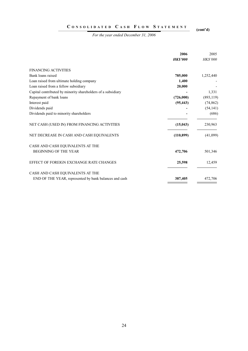# **C ONSOLIDATED C ASH F LOW S T A T E M E N T**

**(cont'd)** 

*For the year ended December 31, 2006* 

|                                                              | 2006            | 2005            |
|--------------------------------------------------------------|-----------------|-----------------|
|                                                              | <b>HK\$'000</b> | <b>HK\$'000</b> |
| <b>FINANCING ACTIVITIES</b>                                  |                 |                 |
| Bank loans raised                                            | 785,000         | 1,252,440       |
| Loan raised from ultimate holding company                    | 1,400           |                 |
| Loan raised from a fellow subsidiary                         | 20,000          |                 |
| Capital contributed by minority shareholders of a subsidiary |                 | 1,331           |
| Repayment of bank loans                                      | (726,000)       | (893, 119)      |
| Interest paid                                                | (95, 443)       | (74, 862)       |
| Dividends paid                                               |                 | (54, 141)       |
| Dividends paid to minority shareholders                      |                 | (686)           |
| NET CASH (USED IN) FROM FINANCING ACTIVITIES                 | (15, 043)       | 230,963         |
| NET DECREASE IN CASH AND CASH EQUIVALENTS                    | (110, 899)      | (41,099)        |
| CASH AND CASH EQUIVALENTS AT THE                             |                 |                 |
| <b>BEGINNING OF THE YEAR</b>                                 | 472,706         | 501,346         |
| EFFECT OF FOREIGN EXCHANGE RATE CHANGES                      | 25,598          | 12,459          |
| CASH AND CASH EQUIVALENTS AT THE                             |                 |                 |
| END OF THE YEAR, represented by bank balances and cash       | 387,405         | 472,706         |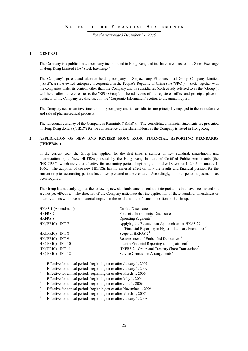*For the year ended December 31, 2006* 

## **1. GENERAL**

The Company is a public limited company incorporated in Hong Kong and its shares are listed on the Stock Exchange of Hong Kong Limited (the "Stock Exchange").

The Company's parent and ultimate holding company is Shijiazhuang Pharmaceutical Group Company Limited ("SPG"), a state-owned enterprise incorporated in the People's Republic of China (the "PRC"). SPG, together with the companies under its control, other than the Company and its subsidiaries (collectively referred to as the "Group"), will hereinafter be referred to as the "SPG Group". The addresses of the registered office and principal place of business of the Company are disclosed in the "Corporate Information" section to the annual report.

The Company acts as an investment holding company and its subsidiaries are principally engaged in the manufacture and sale of pharmaceutical products.

The functional currency of the Company is Renminbi ("RMB"). The consolidated financial statements are presented in Hong Kong dollars ("HKD") for the convenience of the shareholders, as the Company is listed in Hong Kong.

# **2. APPLICATION OF NEW AND REVISED HONG KONG FINANCIAL REPORTING STANDARDS ("HKFRSs")**

In the current year, the Group has applied, for the first time, a number of new standard, amendments and interpretations (the "new HKFRSs") issued by the Hong Kong Institute of Certified Public Accountants (the "HKICPA"), which are either effective for accounting periods beginning on or after December 1, 2005 or January 1, 2006. The adoption of the new HKFRSs has no material effect on how the results and financial position for the current or prior accounting periods have been prepared and presented. Accordingly, no prior period adjustment has been required.

The Group has not early applied the following new standards, amendment and interpretations that have been issued but are not yet effective. The directors of the Company anticipate that the application of these standard, amendment or interpretations will have no material impact on the results and the financial position of the Group.

| HKAS 1 (Amendment) | Capital Disclosures <sup>1</sup>                                  |
|--------------------|-------------------------------------------------------------------|
| <b>HKFRS 7</b>     | Financial Instruments: Disclosures <sup>1</sup>                   |
| HKFRS 8            | Operating Segments <sup>2</sup>                                   |
| HK(IFRIC) - INT 7  | Applying the Restatement Approach under HKAS 29                   |
|                    | "Financial Reporting in Hyperinflationary Economies" <sup>3</sup> |
| HK(IFRIC) - INT 8  | Scope of HKFRS 2 <sup>4</sup>                                     |
| HK(IFRIC) - INT 9  | Reassessment of Embedded Derivatives <sup>5</sup>                 |
| HK(IFRIC) - INT 10 | Interim Financial Reporting and Impairment <sup>6</sup>           |
| HK(IFRIC) - INT 11 | HKFRS 2 - Group and Treasury Share Transactions <sup>7</sup>      |
| HK(IFRIC) - INT 12 | Service Concession Arrangements <sup>8</sup>                      |
|                    |                                                                   |

- 
- 
- 
- 
- 
- <sup>1</sup><br>Effective for annual periods beginning on or after January 1, 2007.<br>
<sup>2</sup><br>Effective for annual periods beginning on or after January 1, 2009.<br>
<sup>3</sup><br>Effective for annual periods beginning on or after March 1, 2006.<br>
Effe
- 
-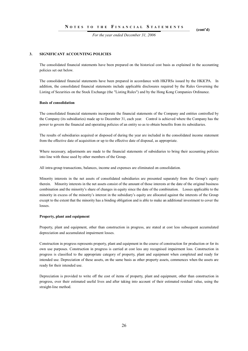*For the year ended December 31, 2006* 

## **3. SIGNIFICANT ACCOUNTING POLICIES**

The consolidated financial statements have been prepared on the historical cost basis as explained in the accounting policies set out below.

The consolidated financial statements have been prepared in accordance with HKFRSs issued by the HKICPA. In addition, the consolidated financial statements include applicable disclosures required by the Rules Governing the Listing of Securities on the Stock Exchange (the "Listing Rules") and by the Hong Kong Companies Ordinance.

#### **Basis of consolidation**

The consolidated financial statements incorporate the financial statements of the Company and entities controlled by the Company (its subsidiaries) made up to December 31, each year. Control is achieved where the Company has the power to govern the financial and operating policies of an entity so as to obtain benefits from its subsidiaries.

The results of subsidiaries acquired or disposed of during the year are included in the consolidated income statement from the effective date of acquisition or up to the effective date of disposal, as appropriate.

Where necessary, adjustments are made to the financial statements of subsidiaries to bring their accounting policies into line with those used by other members of the Group.

All intra-group transactions, balances, income and expenses are eliminated on consolidation.

Minority interests in the net assets of consolidated subsidiaries are presented separately from the Group's equity therein. Minority interests in the net assets consist of the amount of those interests at the date of the original business combination and the minority's share of changes in equity since the date of the combination. Losses applicable to the minority in excess of the minority's interest in the subsidiary's equity are allocated against the interests of the Group except to the extent that the minority has a binding obligation and is able to make an additional investment to cover the losses.

## **Property, plant and equipment**

Property, plant and equipment, other than construction in progress, are stated at cost less subsequent accumulated depreciation and accumulated impairment losses.

Construction in progress represents property, plant and equipment in the course of construction for production or for its own use purposes. Construction in progress is carried at cost less any recognised impairment loss. Construction in progress is classified to the appropriate category of property, plant and equipment when completed and ready for intended use. Depreciation of these assets, on the same basis as other property assets, commences when the assets are ready for their intended use.

Depreciation is provided to write off the cost of items of property, plant and equipment, other than construction in progress, over their estimated useful lives and after taking into account of their estimated residual value, using the straight-line method.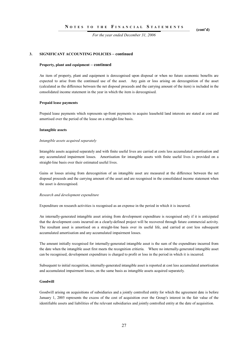*For the year ended December 31, 2006* 

## **3. SIGNIFICANT ACCOUNTING POLICIES – continued**

## **Property, plant and equipment – continued**

An item of property, plant and equipment is derecognised upon disposal or when no future economic benefits are expected to arise from the continued use of the asset. Any gain or loss arising on derecognition of the asset (calculated as the difference between the net disposal proceeds and the carrying amount of the item) is included in the consolidated income statement in the year in which the item is derecognised.

#### **Prepaid lease payments**

Prepaid lease payments which represents up-front payments to acquire leasehold land interests are stated at cost and amortised over the period of the lease on a straight-line basis.

#### **Intangible assets**

#### *Intangible assets acquired separately*

Intangible assets acquired separately and with finite useful lives are carried at costs less accumulated amortisation and any accumulated impairment losses. Amortisation for intangible assets with finite useful lives is provided on a straight-line basis over their estimated useful lives.

Gains or losses arising from derecognition of an intangible asset are measured at the difference between the net disposal proceeds and the carrying amount of the asset and are recognised in the consolidated income statement when the asset is derecognised.

#### *Research and development expenditure*

Expenditure on research activities is recognised as an expense in the period in which it is incurred.

An internally-generated intangible asset arising from development expenditure is recognised only if it is anticipated that the development costs incurred on a clearly-defined project will be recovered through future commercial activity. The resultant asset is amortised on a straight-line basis over its useful life, and carried at cost less subsequent accumulated amortisation and any accumulated impairment losses.

The amount initially recognised for internally-generated intangible asset is the sum of the expenditure incurred from the date when the intangible asset first meets the recognition critieria. Where no internally-generated intangible asset can be recognised, development expenditure is charged to profit or loss in the period in which it is incurred.

Subsequent to initial recognition, internally-generated intangible asset is reported at cost less accumulated amortisation and accumulated impairment losses, on the same basis as intangible assets acquired separately.

#### **Goodwill**

Goodwill arising on acquisitions of subsidiaries and a jointly controlled entity for which the agreement date is before January 1, 2005 represents the excess of the cost of acquisition over the Group's interest in the fair value of the identifiable assets and liabilities of the relevant subsidiaries and jointly controlled entity at the date of acquisition.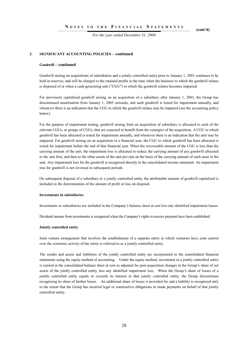*For the year ended December 31, 2006* 

## **3. SIGNIFICANT ACCOUNTING POLICIES – continued**

#### **Goodwill – continued**

Goodwill arising on acquisitions of subsidiaries and a jointly controlled entity prior to January 1, 2001 continues to be held in reserves, and will be charged to the retained profits at the time when the business to which the goodwill relates is disposed of or when a cash-generating unit ("CGU") to which the goodwill relates becomes impaired.

For previously capitalised goodwill arising on an acquisition of a subsidiary after January 1, 2001, the Group has discontinued amortisation from January 1, 2005 onwards, and such goodwill is tested for impairment annually, and whenever there is an indication that the CGU to which the goodwill relates may be impaired (see the accounting policy below).

For the purpose of impairment testing, goodwill arising from an acquisition of subsidiary is allocated to each of the relevant CGUs, or groups of CGUs, that are expected to benefit from the synergies of the acquisition. A CGU to which goodwill has been allocated is tested for impairment annually, and whenever there is an indication that the unit may be impaired. For goodwill arising on an acquisition in a financial year, the CGU to which goodwill has been allocated is tested for impairment before the end of that financial year. When the recoverable amount of the CGU is less than the carrying amount of the unit, the impairment loss is allocated to reduce the carrying amount of any goodwill allocated to the unit first, and then to the other assets of the unit pro rata on the basis of the carrying amount of each asset in the unit. Any impairment loss for the goodwill is recognised directly in the consolidated income statement. An impairment loss for goodwill is not reversed in subsequent periods.

On subsequent disposal of a subsidiary or a jointly controlled entity, the attributable amount of goodwill capitalised is included in the determination of the amount of profit or loss on disposal.

#### **Investments in subsidiaries**

Investments in subsidiaries are included in the Company's balance sheet at cost less any identified impairment losses.

Dividend income from investments is recognised when the Company's rights to receive payment have been established.

#### **Jointly controlled entity**

Joint venture arrangement that involves the establishment of a separate entity in which venturers have joint control over the economic activity of the entity is referred to as a jointly controlled entity.

The results and assets and liabilities of the jointly controlled entity are incorporated in the consolidated financial statements using the equity method of accounting. Under the equity method, investment in a jointly controlled entity is carried in the consolidated balance sheet at cost as adjusted for post-acquisition changes in the Group's share of net assets of the jointly controlled entity, less any identified impairment loss. When the Group's share of losses of a jointly controlled entity equals or exceeds its interest in that jointly controlled entity, the Group discontinues recognising its share of further losses. An additional share of losses is provided for and a liability is recognised only to the extent that the Group has incurred legal or constructive obligations or made payments on behalf of that jointly controlled entity.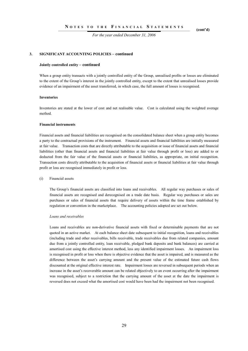*For the year ended December 31, 2006* 

## **3. SIGNIFICANT ACCOUNTING POLICIES – continued**

#### **Jointly controlled entity – continued**

When a group entity transacts with a jointly controlled entity of the Group, unrealised profits or losses are eliminated to the extent of the Group's interest in the jointly controlled entity, except to the extent that unrealised losses provide evidence of an impairment of the asset transferred, in which case, the full amount of losses is recognised.

#### **Inventories**

Inventories are stated at the lower of cost and net realisable value. Cost is calculated using the weighted average method.

#### **Financial instruments**

Financial assets and financial liabilities are recognised on the consolidated balance sheet when a group entity becomes a party to the contractual provisions of the instrument. Financial assets and financial liabilities are initially measured at fair value. Transaction costs that are directly attributable to the acquisition or issue of financial assets and financial liabilities (other than financial assets and financial liabilities at fair value through profit or loss) are added to or deducted from the fair value of the financial assets or financial liabilities, as appropriate, on initial recognition. Transaction costs directly attributable to the acquisition of financial assets or financial liabilities at fair value through profit or loss are recognised immediately in profit or loss.

#### (i) Financial assets

The Group's financial assets are classified into loans and receivables. All regular way purchases or sales of financial assets are recognised and derecognised on a trade date basis. Regular way purchases or sales are purchases or sales of financial assets that require delivery of assets within the time frame established by regulation or convention in the marketplace. The accounting policies adopted are set out below.

## *Loans and receivables*

Loans and receivables are non-derivative financial assets with fixed or determinable payments that are not quoted in an active market. At each balance sheet date subsequent to initial recognition, loans and receivables (including trade and other receivables, bills receivable, trade receivables due from related companies, amount due from a jointly controlled entity, loan receivable, pledged bank deposits and bank balances) are carried at amortised cost using the effective interest method, less any identified impairment losses. An impairment loss is recognised in profit or loss when there is objective evidence that the asset is impaired, and is measured as the difference between the asset's carrying amount and the present value of the estimated future cash flows discounted at the original effective interest rate. Impairment losses are reversed in subsequent periods when an increase in the asset's recoverable amount can be related objectively to an event occurring after the impairment was recognised, subject to a restriction that the carrying amount of the asset at the date the impairment is reversed does not exceed what the amortised cost would have been had the impairment not been recognised.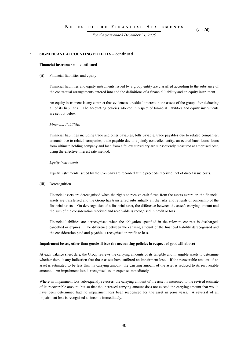*For the year ended December 31, 2006* 

## **3. SIGNIFICANT ACCOUNTING POLICIES – continued**

#### **Financial instruments – continued**

#### (ii) Financial liabilities and equity

Financial liabilities and equity instruments issued by a group entity are classified according to the substance of the contractual arrangements entered into and the definitions of a financial liability and an equity instrument.

An equity instrument is any contract that evidences a residual interest in the assets of the group after deducting all of its liabilities. The accounting policies adopted in respect of financial liabilities and equity instruments are set out below.

#### *Financial liabilities*

Financial liabilities including trade and other payables, bills payable, trade payables due to related companies, amounts due to related companies, trade payable due to a jointly controlled entity, unsecured bank loans, loans from ultimate holding company and loan from a fellow subsidiary are subsequently measured at amortised cost, using the effective interest rate method.

#### *Equity instruments*

Equity instruments issued by the Company are recorded at the proceeds received, net of direct issue costs.

(iii) Derecognition

Financial assets are derecognised when the rights to receive cash flows from the assets expire or, the financial assets are transferred and the Group has transferred substantially all the risks and rewards of ownership of the financial assets. On derecognition of a financial asset, the difference between the asset's carrying amount and the sum of the consideration received and receivable is recognised in profit or loss.

Financial liabilities are derecognised when the obligation specified in the relevant contract is discharged, cancelled or expires. The difference between the carrying amount of the financial liability derecognised and the consideration paid and payable is recognised in profit or loss.

#### **Impairment losses, other than goodwill (see the accounting policies in respect of goodwill above)**

At each balance sheet date, the Group reviews the carrying amounts of its tangible and intangible assets to determine whether there is any indication that those assets have suffered an impairment loss. If the recoverable amount of an asset is estimated to be less than its carrying amount, the carrying amount of the asset is reduced to its recoverable amount. An impairment loss is recognised as an expense immediately.

Where an impairment loss subsequently reverses, the carrying amount of the asset is increased to the revised estimate of its recoverable amount, but so that the increased carrying amount does not exceed the carrying amount that would have been determined had no impairment loss been recognised for the asset in prior years. A reversal of an impairment loss is recognised as income immediately.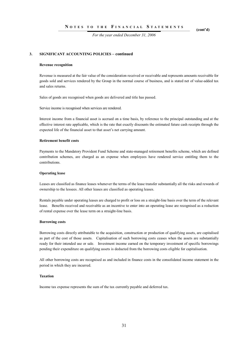*For the year ended December 31, 2006* 

## **3. SIGNIFICANT ACCOUNTING POLICIES – continued**

#### **Revenue recognition**

Revenue is measured at the fair value of the consideration received or receivable and represents amounts receivable for goods sold and services rendered by the Group in the normal course of business, and is stated net of value-added tax and sales returns.

Sales of goods are recognised when goods are delivered and title has passed.

Service income is recognised when services are rendered.

Interest income from a financial asset is accrued on a time basis, by reference to the principal outstanding and at the effective interest rate applicable, which is the rate that exactly discounts the estimated future cash receipts through the expected life of the financial asset to that asset's net carrying amount.

#### **Retirement benefit costs**

Payments to the Mandatory Provident Fund Scheme and state-managed retirement benefits scheme, which are defined contribution schemes, are charged as an expense when employees have rendered service entitling them to the contributions.

#### **Operating lease**

Leases are classified as finance leases whenever the terms of the lease transfer substantially all the risks and rewards of ownership to the lessees. All other leases are classified as operating leases.

Rentals payable under operating leases are charged to profit or loss on a straight-line basis over the term of the relevant lease. Benefits received and receivable as an incentive to enter into an operating lease are recognised as a reduction of rental expense over the lease term on a straight-line basis.

#### **Borrowing costs**

Borrowing costs directly attributable to the acquisition, construction or production of qualifying assets, are capitalised as part of the cost of those assets. Capitalisation of such borrowing costs ceases when the assets are substantially ready for their intended use or sale. Investment income earned on the temporary investment of specific borrowings pending their expenditure on qualifying assets is deducted from the borrowing costs eligible for capitalisation.

All other borrowing costs are recognised as and included in finance costs in the consolidated income statement in the period in which they are incurred.

## **Taxation**

Income tax expense represents the sum of the tax currently payable and deferred tax.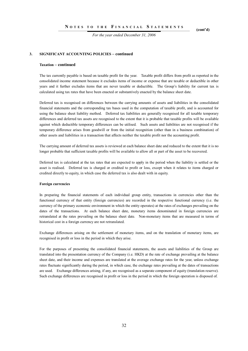*For the year ended December 31, 2006* 

## **3. SIGNIFICANT ACCOUNTING POLICIES – continued**

#### **Taxation – continued**

The tax currently payable is based on taxable profit for the year. Taxable profit differs from profit as reported in the consolidated income statement because it excludes items of income or expense that are taxable or deductible in other years and it further excludes items that are never taxable or deductible. The Group's liability for current tax is calculated using tax rates that have been enacted or substantively enacted by the balance sheet date.

Deferred tax is recognised on differences between the carrying amounts of assets and liabilities in the consolidated financial statements and the corresponding tax bases used in the computation of taxable profit, and is accounted for using the balance sheet liability method. Deferred tax liabilities are generally recognised for all taxable temporary differences and deferred tax assets are recognised to the extent that it is probable that taxable profits will be available against which deductible temporary differences can be utilised. Such assets and liabilities are not recognised if the temporary difference arises from goodwill or from the initial recognition (other than in a business combination) of other assets and liabilities in a transaction that affects neither the taxable profit nor the accounting profit.

The carrying amount of deferred tax assets is reviewed at each balance sheet date and reduced to the extent that it is no longer probable that sufficient taxable profits will be available to allow all or part of the asset to be recovered.

Deferred tax is calculated at the tax rates that are expected to apply in the period when the liability is settled or the asset is realised. Deferred tax is charged or credited to profit or loss, except when it relates to items charged or credited directly to equity, in which case the deferred tax is also dealt with in equity.

#### **Foreign currencies**

In preparing the financial statements of each individual group entity, transactions in currencies other than the functional currency of that entity (foreign currencies) are recorded in the respective functional currency (i.e. the currency of the primary economic environment in which the entity operates) at the rates of exchanges prevailing on the dates of the transactions. At each balance sheet date, monetary items denominated in foreign currencies are retranslated at the rates prevailing on the balance sheet date. Non-monetary items that are measured in terms of historical cost in a foreign currency are not retranslated.

Exchange differences arising on the settlement of monetary items, and on the translation of monetary items, are recognised in profit or loss in the period in which they arise.

For the purposes of presenting the consolidated financial statements, the assets and liabilities of the Group are translated into the presentation currency of the Company (i.e. HKD) at the rate of exchange prevailing at the balance sheet date, and their income and expenses are translated at the average exchange rates for the year, unless exchange rates fluctuate significantly during the period, in which case, the exchange rates prevailing at the dates of transactions are used. Exchange differences arising, if any, are recognised as a separate component of equity (translation reserve). Such exchange differences are recognised in profit or loss in the period in which the foreign operation is disposed of.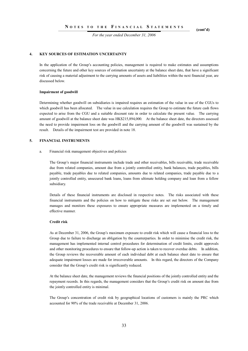*For the year ended December 31, 2006* 

## **4. KEY SOURCES OF ESTIMATION UNCERTAINTY**

In the application of the Group's accounting policies, management is required to make estimates and assumptions concerning the future and other key sources of estimation uncertainty at the balance sheet date, that have a significant risk of causing a material adjustment to the carrying amounts of assets and liabilities within the next financial year, are discussed below.

#### **Impairment of goodwill**

Determining whether goodwill on subsidiaries is impaired requires an estimation of the value in use of the CGUs to which goodwill has been allocated. The value in use calculation requires the Group to estimate the future cash flows expected to arise from the CGU and a suitable discount rate in order to calculate the present value. The carrying amount of goodwill at the balance sheet date was HK\$215,894,000. At the balance sheet date, the directors assessed the need to provide impairment loss on the goodwill and the carrying amount of the goodwill was sustained by the result. Details of the impairment test are provided in note 18.

#### **5. FINANCIAL INSTRUMENTS**

a. Financial risk management objectives and policies

The Group's major financial instruments include trade and other receivables, bills receivable, trade receivable due from related companies, amount due from a jointly controlled entity, bank balances, trade payables, bills payable, trade payables due to related companies, amounts due to related companies, trade payable due to a jointly controlled entity, unsecured bank loans, loans from ultimate holding company and loan from a fellow subsidiary.

Details of these financial instruments are disclosed in respective notes. The risks associated with these financial instruments and the policies on how to mitigate these risks are set out below. The management manages and monitors these exposures to ensure appropriate measures are implemented on a timely and effective manner.

## **Credit risk**

As at December 31, 2006, the Group's maximum exposure to credit risk which will cause a financial loss to the Group due to failure to discharge an obligation by the counterparties. In order to minimise the credit risk, the management has implemented internal control procedures for determination of credit limits, credit approvals and other monitoring procedures to ensure that follow-up action is taken to recover overdue debts. In addition, the Group reviews the recoverable amount of each individual debt at each balance sheet date to ensure that adequate impairment losses are made for irrecoverable amounts. In this regard, the directors of the Company consider that the Group's credit risk is significantly reduced.

At the balance sheet date, the management reviews the financial positions of the jointly controlled entity and the repayment records. In this regards, the management considers that the Group's credit risk on amount due from the jointly controlled entity is minimal.

The Group's concentration of credit risk by geographical locations of customers is mainly the PRC which accounted for 90% of the trade receivable at December 31, 2006.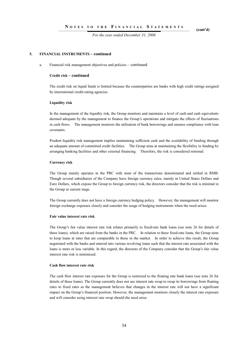*For the year ended December 31, 2006* 

## **5. FINANCIAL INSTRUMENTS – continued**

#### a. Financial risk management objectives and policies – continued

#### **Credit risk – continued**

The credit risk on liquid funds is limited because the counterparties are banks with high credit ratings assigned by international credit-rating agencies.

#### **Liquidity risk**

In the management of the liquidity risk, the Group monitors and maintains a level of cash and cash equivalents deemed adequate by the management to finance the Group's operations and mitigate the effects of fluctuations in cash flows. The management monitors the utilisation of bank borrowings and ensures compliance with loan covenants.

Prudent liquidity risk management implies maintaining sufficient cash and the availability of funding through an adequate amount of committed credit facilities. The Group aims at maintaining the flexibility in funding by arranging banking facilities and other external financing. Therefore, the risk is considered minimal.

#### **Currency risk**

The Group mainly operates in the PRC with most of the transactions denominated and settled in RMB. Though several subsidiaries of the Company have foreign currency sales, mainly in United States Dollars and Euro Dollars, which expose the Group to foreign currency risk, the directors consider that the risk is minimal to the Group at current stage.

The Group currently does not have a foreign currency hedging policy. However, the management will monitor foreign exchange exposure closely and consider the usage of hedging instruments when the need arises.

## **Fair value interest rate risk**

The Group's fair value interest rate risk relates primarily to fixed-rate bank loans (see note 26 for details of these loans), which are raised from the banks in the PRC. In relation to these fixed-rate loans, the Group aims to keep loans at rates that are comparable to those in the market. In order to achieve this result, the Group negotiated with the banks and entered into various revolving loans such that the interest rate associated with the loans is more or less variable. In this regard, the directors of the Company consider that the Group's fair value interest rate risk is minimised.

#### **Cash flow interest rate risk**

The cash flow interest rate exposure for the Group is restricted to the floating rate bank loans (see note 26 for details of these loans). The Group currently does not use interest rate swap to swap its borrowings from floating rates to fixed rates as the management believes that changes in the interest rate will not have a significant impact on the Group's financial position. However, the management monitors closely the interest rate exposure and will consider using interest rate swap should the need arise.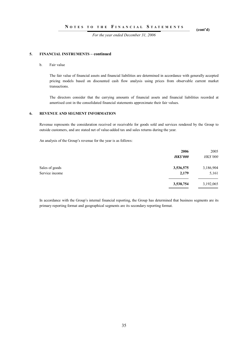*For the year ended December 31, 2006* 

## **5. FINANCIAL INSTRUMENTS – continued**

#### b. Fair value

The fair value of financial assets and financial liabilities are determined in accordance with generally accepted pricing models based on discounted cash flow analysis using prices from observable current market transactions.

The directors consider that the carrying amounts of financial assets and financial liabilities recorded at amortised cost in the consolidated financial statements approximate their fair values.

## **6. REVENUE AND SEGMENT INFORMATION**

Revenue represents the consideration received or receivable for goods sold and services rendered by the Group to outside customers, and are stated net of value-added tax and sales returns during the year.

An analysis of the Group's revenue for the year is as follows:

|                | 2006<br><b>HK\$'000</b> | 2005<br>HK\$'000 |
|----------------|-------------------------|------------------|
| Sales of goods | 3,536,575               | 3,186,904        |
| Service income | 2,179                   | 5,161            |
|                | 3,538,754               | 3,192,065        |

In accordance with the Group's internal financial reporting, the Group has determined that business segments are its primary reporting format and geographical segments are its secondary reporting format.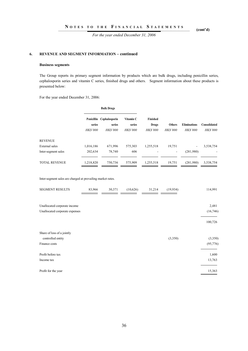*For the year ended December 31, 2006* 

# **6. REVENUE AND SEGMENT INFORMATION – continued**

## **Business segments**

The Group reports its primary segment information by products which are bulk drugs, including penicillin series, cephalosporin series and vitamin C series, finished drugs and others. Segment information about these products is presented below:

For the year ended December 31, 2006:

|                      |                          | <b>Bulk Drugs</b>                                    |                                       |                                                   |                                 |                                       |                                |
|----------------------|--------------------------|------------------------------------------------------|---------------------------------------|---------------------------------------------------|---------------------------------|---------------------------------------|--------------------------------|
|                      | series<br><b>HKS'000</b> | Penicillin Cephalosporin<br>series<br><b>HKS'000</b> | Vitamin C<br>series<br><b>HKS'000</b> | <b>Finished</b><br><b>Drugs</b><br><b>HKS'000</b> | <b>Others</b><br><b>HKS'000</b> | <b>Eliminations</b><br><b>HKS'000</b> | Consolidated<br><b>HKS'000</b> |
|                      |                          |                                                      |                                       |                                                   |                                 |                                       |                                |
| <b>REVENUE</b>       |                          |                                                      |                                       |                                                   |                                 |                                       |                                |
| External sales       | 1,016,186                | 671,996                                              | 575,303                               | 1,255,518                                         | 19,751                          | $\sim$                                | 3,538,754                      |
| Inter-segment sales  | 202,634                  | 78,740                                               | 606                                   |                                                   | $\overline{\phantom{a}}$        | (281,980)                             |                                |
| <b>TOTAL REVENUE</b> | 1,218,820                | 750,736                                              | 575,909                               | 1,255,518                                         | 19,751                          | (281,980)                             | 3,538,754                      |

Inter-segment sales are charged at prevailing market rates.

| <b>SEGMENT RESULTS</b>                                         | 83,966 | 30,371 | (10,626) | 31,214 | (19,934) | 114,991           |
|----------------------------------------------------------------|--------|--------|----------|--------|----------|-------------------|
| Unallocated corporate income<br>Unallocated corporate expenses |        |        |          |        |          | 2,481<br>(16,746) |
|                                                                |        |        |          |        |          | 100,726           |
| Share of loss of a jointly                                     |        |        |          |        |          |                   |
| controlled entity                                              |        |        |          |        | (3,350)  | (3,350)           |
| Finance costs                                                  |        |        |          |        |          | (95, 776)         |
| Profit before tax                                              |        |        |          |        |          | 1,600             |
| Income tax                                                     |        |        |          |        |          | 13,763            |
| Profit for the year                                            |        |        |          |        |          | 15,363            |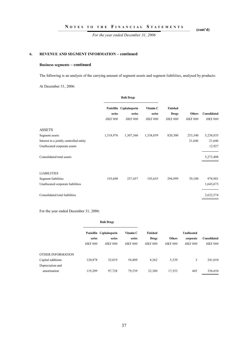*For the year ended December 31, 2006* 

# **6. REVENUE AND SEGMENT INFORMATION – continued**

## **Business segments – continued**

The following is an analysis of the carrying amount of segment assets and segment liabilities, analysed by products:

At December 31, 2006:

|                                         | <b>Bulk Drugs</b> |                          |                 |                 |                 |                 |
|-----------------------------------------|-------------------|--------------------------|-----------------|-----------------|-----------------|-----------------|
|                                         |                   | Penicillin Cephalosporin | Vitamin C       | Finished        |                 |                 |
|                                         | series            | series                   | series          | <b>Drugs</b>    | <b>Others</b>   | Consolidated    |
|                                         | HK\$'000          | HK\$'000                 | <b>HK\$'000</b> | <b>HK\$'000</b> | <b>HK\$'000</b> | <b>HK\$'000</b> |
| <b>ASSETS</b>                           |                   |                          |                 |                 |                 |                 |
| Segment assets                          | 1,518,976         | 1,307,360                | 1,338,859       | 820,300         | 253,340         | 5,238,835       |
| Interest in a jointly controlled entity |                   |                          |                 |                 | 21,646          | 21,646          |
| Unallocated corporate assets            |                   |                          |                 |                 |                 | 12,927          |
| Consolidated total assets               |                   |                          |                 |                 |                 | 5,273,408       |
| <b>LIABILITIES</b>                      |                   |                          |                 |                 |                 |                 |
| Segment liabilities                     | 193,690           | 257,457                  | 193,655         | 294,999         | 39,100          | 978,901         |
| Unallocated corporate liabilities       |                   |                          |                 |                 |                 | 1,643,673       |
| Consolidated total liabilities          |                   |                          |                 |                 |                 | 2,622,574       |

For the year ended December 31, 2006:

|                   |                | <b>Bulk Drugs</b>        |                |                 |                 |                    |                 |
|-------------------|----------------|--------------------------|----------------|-----------------|-----------------|--------------------|-----------------|
|                   |                | Penicillin Cephalosporin | Vitamin C      | Finished        |                 | <b>Unallocated</b> |                 |
|                   | series         | series                   | series         | <b>Drugs</b>    | <b>Others</b>   | corporate          | Consolidated    |
|                   | <b>HKS'000</b> | <b>HK\$'000</b>          | <b>HKS'000</b> | <b>HK\$'000</b> | <b>HK\$'000</b> | <b>HKS'000</b>     | <b>HK\$'000</b> |
| OTHER INFORMATION |                |                          |                |                 |                 |                    |                 |
| Capital additions | 120,878        | 52,019                   | 54,409         | 8,362           | 5,339           | 3                  | 241,010         |
| Depreciation and  |                |                          |                |                 |                 |                    |                 |
| amortisation      | 119,209        | 97,728                   | 79,539         | 22,380          | 17,353          | 445                | 336,654         |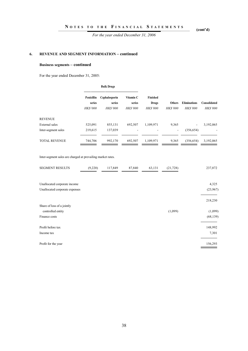*For the year ended December 31, 2006* 

# **6. REVENUE AND SEGMENT INFORMATION – continued**

## **Business segments – continued**

For the year ended December 31, 2005:

|                      | <b>Bulk Drugs</b>    |                         |                     |                                 |                |                     |                 |
|----------------------|----------------------|-------------------------|---------------------|---------------------------------|----------------|---------------------|-----------------|
|                      | Penicillin<br>series | Cephalosporin<br>series | Vitamin C<br>series | <b>Finished</b><br><b>Drugs</b> | <b>Others</b>  | <b>Eliminations</b> | Consolidated    |
|                      | <b>HKS'000</b>       | <b>HKS'000</b>          | <b>HKS'000</b>      | <b>HKS'000</b>                  | <b>HKS'000</b> | <b>HKS'000</b>      | <b>HK\$'000</b> |
| <b>REVENUE</b>       |                      |                         |                     |                                 |                |                     |                 |
| External sales       | 525,091              | 855,131                 | 692,507             | 1,109,971                       | 9,365          |                     | 3,192,065       |
| Inter-segment sales  | 219,615              | 137,039                 |                     |                                 | ۰.             | (356, 654)          |                 |
| <b>TOTAL REVENUE</b> | 744,706              | 992,170                 | 692,507             | 1,109,971                       | 9,365          | (356, 654)          | 3,192,065       |

Inter-segment sales are charged at prevailing market rates.

| <b>SEGMENT RESULTS</b>                                         | (9,220) | 117,849 | 87,840 | 63,131 | (21, 728) | 237,872           |
|----------------------------------------------------------------|---------|---------|--------|--------|-----------|-------------------|
| Unallocated corporate income<br>Unallocated corporate expenses |         |         |        |        |           | 4,325<br>(23,967) |
|                                                                |         |         |        |        |           | 218,230           |
| Share of loss of a jointly                                     |         |         |        |        |           |                   |
| controlled entity                                              |         |         |        |        | (1,099)   | (1,099)           |
| Finance costs                                                  |         |         |        |        |           | (68, 139)         |
| Profit before tax                                              |         |         |        |        |           | 148,992           |
| Income tax                                                     |         |         |        |        |           | 7,301             |
| Profit for the year                                            |         |         |        |        |           | 156,293           |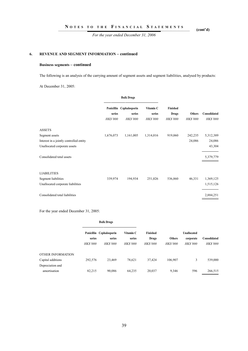*For the year ended December 31, 2006* 

# **6. REVENUE AND SEGMENT INFORMATION – continued**

## **Business segments – continued**

The following is an analysis of the carrying amount of segment assets and segment liabilities, analysed by products:

At December 31, 2005:

|                                         | <b>Bulk Drugs</b>  |                                                       |                                        |                                      |                                  |                                 |
|-----------------------------------------|--------------------|-------------------------------------------------------|----------------------------------------|--------------------------------------|----------------------------------|---------------------------------|
|                                         | series<br>HK\$'000 | Penicillin Cephalosporin<br>series<br><b>HK\$'000</b> | Vitamin C<br>series<br><b>HK\$'000</b> | Finished<br><b>Drugs</b><br>HK\$'000 | <b>Others</b><br><b>HK\$'000</b> | Consolidated<br><b>HK\$'000</b> |
| <b>ASSETS</b>                           |                    |                                                       |                                        |                                      |                                  |                                 |
| Segment assets                          | 1,676,073          | 1,161,005                                             | 1,314,016                              | 919,060                              | 242,235                          | 5,312,389                       |
| Interest in a jointly controlled entity |                    |                                                       |                                        |                                      | 24,086                           | 24,086                          |
| Unallocated corporate assets            |                    |                                                       |                                        |                                      |                                  | 43,304                          |
| Consolidated total assets               |                    |                                                       |                                        |                                      |                                  | 5,379,779                       |
| <b>LIABILITIES</b>                      |                    |                                                       |                                        |                                      |                                  |                                 |
| Segment liabilities                     | 339,974            | 194,934                                               | 251,026                                | 536,860                              | 46,331                           | 1,369,125                       |
| Unallocated corporate liabilities       |                    |                                                       |                                        |                                      |                                  | 1,515,126                       |
| Consolidated total liabilities          |                    |                                                       |                                        |                                      |                                  | 2,884,251                       |

For the year ended December 31, 2005:

|                   | <b>Bulk Drugs</b> |                          |                 |                 |                 |                 |                 |
|-------------------|-------------------|--------------------------|-----------------|-----------------|-----------------|-----------------|-----------------|
|                   |                   | Penicillin Cephalosporin | Vitamin C       | <b>Finished</b> |                 | Unallocated     |                 |
|                   | series            | series                   | series          | <b>Drugs</b>    | <b>Others</b>   | corporate       | Consolidated    |
|                   | <b>HK\$'000</b>   | <b>HKS'000</b>           | <b>HK\$'000</b> | <b>HKS'000</b>  | <b>HK\$'000</b> | <b>HK\$'000</b> | <b>HK\$'000</b> |
| OTHER INFORMATION |                   |                          |                 |                 |                 |                 |                 |
| Capital additions | 292,576           | 23,469                   | 78,621          | 37,424          | 106,907         | 3               | 539,000         |
| Depreciation and  |                   |                          |                 |                 |                 |                 |                 |
| amortisation      | 82,215            | 90,086                   | 64,235          | 20,037          | 9.346           | 596             | 266,515         |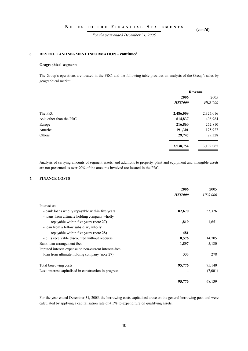*For the year ended December 31, 2006* 

## **6. REVENUE AND SEGMENT INFORMATION – continued**

#### **Geographical segments**

The Group's operations are located in the PRC, and the following table provides an analysis of the Group's sales by geographical market:

|                         |                 | Revenue         |
|-------------------------|-----------------|-----------------|
|                         | 2006            |                 |
|                         | <b>HK\$'000</b> | <i>HK\$'000</i> |
| The PRC                 | 2,486,009       | 2,325,016       |
| Asia other than the PRC | 614,837         | 408,984         |
| Europe                  | 216,860         | 252,810         |
| America                 | 191,301         | 175,927         |
| Others                  | 29,747          | 29,328          |
|                         | 3,538,754       | 3,192,065       |

Analysis of carrying amounts of segment assets, and additions to property, plant and equipment and intangible assets are not presented as over 90% of the amounts involved are located in the PRC.

## **7. FINANCE COSTS**

|                                                        | 2006            | 2005            |
|--------------------------------------------------------|-----------------|-----------------|
|                                                        | <b>HK\$'000</b> | <b>HK\$'000</b> |
| Interest on:                                           |                 |                 |
| - bank loans wholly repayable within five years        | 82,670          | 53,326          |
| - loans from ultimate holding company wholly           |                 |                 |
| repayable within five years (note 27)                  | 1,819           | 1,651           |
| - loan from a fellow subsidiary wholly                 |                 |                 |
| repayable within five years (note 28)                  | 481             |                 |
| - bills receivable discounted without recourse         | 8,576           | 14,705          |
| Bank loan arrangement fees                             | 1,897           | 5,180           |
| Imputed interest expense on non-current interest-free  |                 |                 |
| loan from ultimate holding company (note 27)           | 333             | 278             |
| Total borrowing costs                                  | 95,776          | 75,140          |
| Less: interest capitalised in construction in progress |                 | (7,001)         |
|                                                        | 95,776          | 68,139          |

For the year ended December 31, 2005, the borrowing costs capitalised arose on the general borrowing pool and were calculated by applying a capitalisation rate of 4.5% to expenditure on qualifying assets.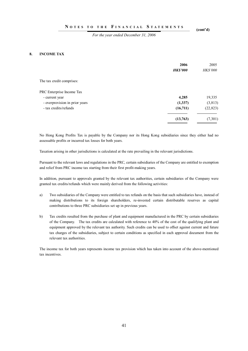*For the year ended December 31, 2006* 

## **8. INCOME TAX**

|                                | 2006<br><b>HK\$'000</b> | 2005<br><b>HK\$'000</b> |
|--------------------------------|-------------------------|-------------------------|
| The tax credit comprises:      |                         |                         |
| PRC Enterprise Income Tax      |                         |                         |
| - current year                 | 4,285                   | 19,335                  |
| - overprovision in prior years | (1, 337)                | (3, 813)                |
| - tax credits/refunds          | (16, 711)               | (22, 823)               |
|                                | (13,763)                | (7,301)                 |

No Hong Kong Profits Tax is payable by the Company nor its Hong Kong subsidiaries since they either had no assessable profits or incurred tax losses for both years.

Taxation arising in other jurisdictions is calculated at the rate prevailing in the relevant jurisdictions.

Pursuant to the relevant laws and regulations in the PRC, certain subsidiaries of the Company are entitled to exemption and relief from PRC income tax starting from their first profit-making years.

In addition, pursuant to approvals granted by the relevant tax authorities, certain subsidiaries of the Company were granted tax credits/refunds which were mainly derived from the following activities:

- a) Two subsidiaries of the Company were entitled to tax refunds on the basis that such subsidiaries have, instead of making distributions to its foreign shareholders, re-invested certain distributable reserves as capital contributions to three PRC subsidiaries set up in previous years.
- b) Tax credits resulted from the purchase of plant and equipment manufactured in the PRC by certain subsidiaries of the Company. The tax credits are calculated with reference to 40% of the cost of the qualifying plant and equipment approved by the relevant tax authority. Such credits can be used to offset against current and future tax charges of the subsidiaries, subject to certain conditions as specified in each approval document from the relevant tax authorities.

The income tax for both years represents income tax provision which has taken into account of the above-mentioned tax incentives.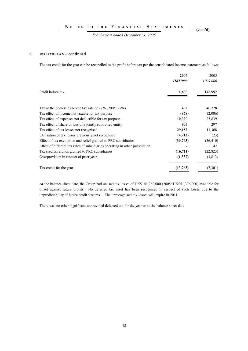*For the year ended December 31, 2006* 

# **8. INCOME TAX – continued**

The tax credit for the year can be reconciled to the profit before tax per the consolidated income statement as follows:

|                                                                               | 2006<br><b>HK\$'000</b> | 2005<br><b>HK\$'000</b> |
|-------------------------------------------------------------------------------|-------------------------|-------------------------|
| Profit before tax                                                             | 1,600                   | 148,992                 |
| Tax at the domestic income tax rate of $27\%$ (2005: $27\%$ )                 | 432                     | 40,228                  |
| Tax effect of income not taxable for tax purpose                              | (878)                   | (2,006)                 |
| Tax effect of expenses not deductible for tax purpose                         | 10,320                  | 25,839                  |
| Tax effect of share of loss of a jointly controlled entity                    | 904                     | 297                     |
| Tax effect of tax losses not recognised                                       | 29,182                  | 11,368                  |
| Utilisation of tax losses previously not recognised                           | (4,912)                 | (23)                    |
| Effect of tax exemption and relief granted to PRC subsidiaries                | (30,763)                | (56, 410)               |
| Effect of different tax rates of subsidiaries operating in other jurisdiction |                         | 42                      |
| Tax credits/refunds granted to PRC subsidiaries                               | (16,711)                | (22, 823)               |
| Overprovision in respect of prior years                                       | (1,337)                 | (3,813)                 |
| Tax credit for the year                                                       | (13,763)                | (7,301)                 |

At the balance sheet date, the Group had unused tax losses of HK\$141,262,000 (2005: HK\$51,376,000) available for offset against future profits. No deferred tax asset has been recognised in respect of such losses due to the unpredictability of future profit streams. The unrecognised tax losses will expire in 2011.

There was no other significant unprovided deferred tax for the year or at the balance sheet date.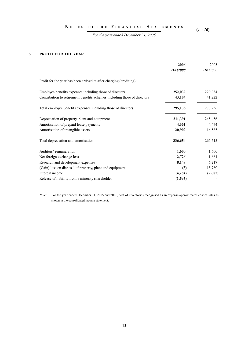**N OTES TO THE F INANCIAL S T A T E M E N T S** 

**(cont'd)** 

*For the year ended December 31, 2006* 

# **9. PROFIT FOR THE YEAR**

|                                                                          | 2006            | 2005            |
|--------------------------------------------------------------------------|-----------------|-----------------|
|                                                                          | <b>HK\$'000</b> | <b>HK\$'000</b> |
| Profit for the year has been arrived at after charging (crediting):      |                 |                 |
| Employee benefits expenses including those of directors                  | 252,032         | 229,034         |
| Contribution to retirement benefits schemes including those of directors | 43,104          | 41,222          |
| Total employee benefits expenses including those of directors            | 295,136         | 270,256         |
| Depreciation of property, plant and equipment                            | 311,391         | 245,456         |
| Amortisation of prepaid lease payments                                   | 4,361           | 4,474           |
| Amortisation of intangible assets                                        | 20,902          | 16,585          |
| Total depreciation and amortisation                                      | 336,654         | 266,515         |
| Auditors' remuneration                                                   | 1,600           | 1,600           |
| Net foreign exchange loss                                                | 2,726           | 1,664           |
| Research and development expenses                                        | 8,148           | 6,217           |
| (Gain) loss on disposal of property, plant and equipment                 | (3)             | 15,780          |
| Interest income                                                          | (4,284)         | (2,687)         |
| Release of liability from a minority shareholder                         | (1,595)         |                 |

*Note:* For the year ended December 31, 2005 and 2006, cost of inventories recognised as an expense approximates cost of sales as shown in the consolidated income statement.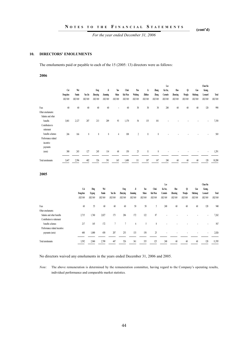**N OTES TO THE F INANCIAL S T A T E M E N T S** 

**(cont'd)** 

*For the year ended December 31, 2006* 

# **10. DIRECTORS' EMOLUMENTS**

The emoluments paid or payable to each of the 15 (2005: 13) directors were as follows:

# **2006**

|                     |                 |                 |          |                 |                 |                |          |                |                |              | Lee             |                 |                 |          | Chan Siu |                 |
|---------------------|-----------------|-----------------|----------|-----------------|-----------------|----------------|----------|----------------|----------------|--------------|-----------------|-----------------|-----------------|----------|----------|-----------------|
|                     | Cai             | Wei             |          | Feng            | Ji              | Yao            | Chak     | Pan            | Li             | <b>Zhang</b> | Ka Sze,         | Huo             | Qi              | Guo      | Keung,   |                 |
|                     | Dongchen        | Fumin           | Yue Jin  | <b>Zhenying</b> | <b>Jianming</b> | Shian          | Kin Man  | Weidong        | <b>Zhibiao</b> | <b>Zheng</b> | Carmelo         | <b>Zhenxing</b> | Moujia          | Shichang | Leonard  | Total           |
|                     | <b>HK\$'000</b> | <b>HK\$'000</b> | HK\$'000 | <b>HK\$'000</b> | HK\$'000        | HK\$'000       | HK\$'000 | HK\$'000       | HK\$'000       | HK\$'000     | <b>HK\$'000</b> | <b>HK\$'000</b> | <b>HK\$'000</b> | HK\$'000 | HK\$'000 | <b>HK\$'000</b> |
| Fees                | 60              | 60              | 60       | 60              | 60              | ٠              | 60       | 30             | 30             | 30           | 240             | 60              | 60              | 60       | 120      | 990             |
| Other emoluments:   |                 |                 |          |                 |                 |                |          |                |                |              |                 |                 |                 |          |          |                 |
| Salaries and other  |                 |                 |          |                 |                 |                |          |                |                |              |                 |                 |                 |          |          |                 |
| benefits            | 3,041           | 2,127           | 207      | 213             | 209             | 93             | 1,170    | 54             | 135            | 101          |                 |                 |                 |          |          | 7,350           |
| Contribution to     |                 |                 |          |                 |                 |                |          |                |                |              |                 |                 |                 |          |          |                 |
| retirement          |                 |                 |          |                 |                 |                |          |                |                |              |                 |                 |                 |          |          |                 |
| benefits schemes    | 246             | 166             | 8        | $\,$ 8 $\,$     | 8               | $\overline{4}$ | 108      | $\overline{c}$ | 11             | 8            |                 |                 |                 |          |          | 569             |
| Performance related |                 |                 |          |                 |                 |                |          |                |                |              |                 |                 |                 |          |          |                 |
| incentive           |                 |                 |          |                 |                 |                |          |                |                |              |                 |                 |                 |          |          |                 |
| payments            |                 |                 |          |                 |                 |                |          |                |                |              |                 |                 |                 |          |          |                 |
| (note)              | 300             | 243             | 127      | 245             | 114             | 68             | 150      | 25             | 11             | 8            |                 |                 |                 |          |          | 1,291           |
| Total emoluments    | 3,647           | 2,596           | 402      | 526             | 391             | 165            | 1,488    | 111            | 187            | 147          | 240             | 60              | 60              | 60       | 120      | 10,200          |

## **2005**

|                               |                |          |                |                |                 |                 |                |                 | Lee             |                 |                 |                 | Chan Siu |                |
|-------------------------------|----------------|----------|----------------|----------------|-----------------|-----------------|----------------|-----------------|-----------------|-----------------|-----------------|-----------------|----------|----------------|
|                               | Cai            | Ding     | Wei            |                | Feng            | Ji              | Yao            | Chak            | Ka Sze,         | Huo             | Qi              | <b>Guo</b>      | Keung,   |                |
|                               | Dongchen       | Ergang   | Fumin          | Yue Jin        | <b>Zhenying</b> | <b>Jianming</b> | Shian          | Kin Man         | Carmelo         | <b>Zhenxing</b> | Moujia          | Shichang        | Leonard  | Total          |
|                               | <b>HKS'000</b> | HK\$'000 | <b>HKS'000</b> | <b>HKS'000</b> | <b>HKS'000</b>  | HK\$'000        | <b>HKS'000</b> | <b>HK\$'000</b> | <b>HK\$'000</b> | <b>HK\$'000</b> | <b>HK\$'000</b> | <b>HK\$'000</b> | HK\$'000 | <b>HKS'000</b> |
| Fees                          | 60             | 55       | 60             | 60             | 60              | 50              | 50             | 5               | 240             | 60              | 60              | 60              | 120      | 940            |
| Other emoluments:             |                |          |                |                |                 |                 |                |                 |                 |                 |                 |                 |          |                |
| Salaries and other benefits   | 2,715          | 1,760    | 2,027          | 173            | 206             | 172             | 122            | 87              |                 |                 |                 |                 |          | 7,262          |
| Contribution to retirement    |                |          |                |                |                 |                 |                |                 |                 |                 |                 |                 |          |                |
| benefits schemes              | 217            | 145      | 172            | σ              | 7               | 6               | 5              | 8               |                 |                 |                 |                 |          | 567            |
| Performance related incentive |                |          |                |                |                 |                 |                |                 |                 |                 |                 |                 |          |                |
| payments (note)               | 600            | 1,000    | 450            | 207            | 253             | 133             | 158            | 25              |                 |                 |                 |                 |          | 2,826          |
| Total emoluments              | 3,592          | 2,960    | 2,709          | 447            | 526             | 361             | 335            | 125             | 240             | 60              | 60              | 60              | 120      | 11,595         |

No directors waived any emoluments in the years ended December 31, 2006 and 2005.

*Note:* The above remuneration is determined by the remuneration committee, having regard to the Company's operating results, individual performance and comparable market statistics.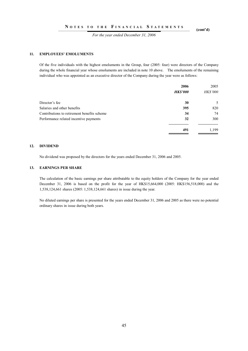*For the year ended December 31, 2006* 

## **11. EMPLOYEES' EMOLUMENTS**

Of the five individuals with the highest emoluments in the Group, four (2005: four) were directors of the Company during the whole financial year whose emoluments are included in note 10 above. The emoluments of the remaining individual who was appointed as an executive director of the Company during the year were as follows:

| 2006            | 2005            |
|-----------------|-----------------|
| <b>HK\$'000</b> | <b>HK\$'000</b> |
| 30              | 5               |
| 395             | 820             |
| 34              | 74              |
| 32              | 300             |
| 491             | 1,199           |
|                 |                 |

## **12. DIVIDEND**

No dividend was proposed by the directors for the years ended December 31, 2006 and 2005.

# **13. EARNINGS PER SHARE**

The calculation of the basic earnings per share attributable to the equity holders of the Company for the year ended December 31, 2006 is based on the profit for the year of HK\$15,664,000 (2005: HK\$156,518,000) and the 1,538,124,661 shares (2005: 1,538,124,661 shares) in issue during the year.

No diluted earnings per share is presented for the years ended December 31, 2006 and 2005 as there were no potential ordinary shares in issue during both years.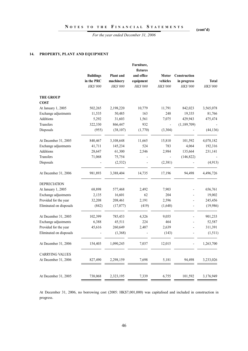*For the year ended December 31, 2006* 

# **14. PROPERTY, PLANT AND EQUIPMENT**

|                         |                        |                       | Furniture,<br>fixtures |                      |                         |                   |
|-------------------------|------------------------|-----------------------|------------------------|----------------------|-------------------------|-------------------|
|                         | <b>Buildings</b>       | Plant and             | and office             | Motor                | Construction            |                   |
|                         | in the PRC<br>HK\$'000 | machinery<br>HK\$'000 | equipment<br>HK\$'000  | vehicles<br>HK\$'000 | in progress<br>HK\$'000 | Total<br>HK\$'000 |
| <b>THE GROUP</b>        |                        |                       |                        |                      |                         |                   |
| <b>COST</b>             |                        |                       |                        |                      |                         |                   |
| At January 1, 2005      | 502,265                | 2,198,220             | 10,779                 | 11,791               | 842,023                 | 3,565,078         |
| Exchange adjustments    | 11,535                 | 50,485                | 163                    | 248                  | 19,335                  | 81,766            |
| Additions               | 5,292                  | 31,603                | 1,561                  | 7,075                | 429,943                 | 475,474           |
| Transfers               | 322,330                | 866,447               | 932                    |                      | (1, 189, 709)           |                   |
| Disposals               | (955)                  | (38, 107)             | (1,770)                | (3, 304)             |                         | (44, 136)         |
| At December 31, 2005    | 840,467                | 3,108,648             | 11,665                 | 15,810               | 101,592                 | 4,078,182         |
| Exchange adjustments    | 41,711                 | 145,234               | 524                    | 783                  | 4,064                   | 192,316           |
| Additions               | 28,647                 | 61,300                | 2,546                  | 2,984                | 135,664                 | 231,141           |
| <b>Transfers</b>        | 71,068                 | 75,754                |                        |                      | (146, 822)              |                   |
| Disposals               |                        | (2, 532)              |                        | (2,381)              |                         | (4, 913)          |
| At December 31, 2006    | 981,893                | 3,388,404             | 14,735                 | 17,196               | 94,498                  | 4,496,726         |
| <b>DEPRECIATION</b>     |                        |                       |                        |                      |                         |                   |
| At January 1, 2005      | 68,898                 | 577,468               | 2,492                  | 7,903                |                         | 656,761           |
| Exchange adjustments    | 2,135                  | 16,601                | 62                     | 204                  |                         | 19,002            |
| Provided for the year   | 32,208                 | 208,461               | 2,191                  | 2,596                |                         | 245,456           |
| Eliminated on disposals | (842)                  | (17,077)              | (419)                  | (1,648)              |                         | (19,986)          |
| At December 31, 2005    | 102,399                | 785,453               | 4,326                  | 9,055                |                         | 901,233           |
| Exchange adjustments    | 6,388                  | 45,511                | 224                    | 464                  |                         | 52,587            |
| Provided for the year   | 45,616                 | 260,649               | 2,487                  | 2,639                |                         | 311,391           |
| Eliminated on disposals |                        | (1, 368)              |                        | (143)                |                         | (1, 511)          |
| At December 31, 2006    | 154,403                | 1,090,245             | 7,037                  | 12,015               | $\overline{a}$          | 1,263,700         |
| <b>CARRYING VALUES</b>  |                        |                       |                        |                      |                         |                   |
| At December 31, 2006    | 827,490                | 2,298,159             | 7,698                  | 5,181                | 94,498                  | 3,233,026         |
|                         |                        |                       |                        |                      |                         |                   |
| At December 31, 2005    | 738,068                | 2,323,195             | 7,339                  | 6,755                | 101,592                 | 3,176,949         |

At December 31, 2006, no borrowing cost (2005: HK\$7,001,000) was capitalised and included in construction in progress.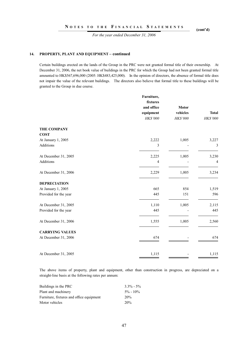*For the year ended December 31, 2006* 

## **14. PROPERTY, PLANT AND EQUIPMENT – continued**

Certain buildings erected on the lands of the Group in the PRC were not granted formal title of their ownership. At December 31, 2006, the net book value of buildings in the PRC for which the Group had not been granted formal title amounted to HK\$567,696,000 (2005: HK\$483,425,000). In the opinion of directors, the absence of formal title does not impair the value of the relevant buildings. The directors also believe that formal title to these buildings will be granted to the Group in due course.

|                                   | Furniture, |              |                |
|-----------------------------------|------------|--------------|----------------|
|                                   | fixtures   |              |                |
|                                   | and office | <b>Motor</b> |                |
|                                   | equipment  | vehicles     | <b>Total</b>   |
|                                   | HK\$'000   | HK\$'000     | HK\$'000       |
| <b>THE COMPANY</b><br><b>COST</b> |            |              |                |
| At January 1, 2005                | 2,222      | 1,005        | 3,227          |
| Additions                         | 3          |              | 3              |
| At December 31, 2005              | 2,225      | 1,005        | 3,230          |
| Additions                         | 4          |              | $\overline{4}$ |
| At December 31, 2006              | 2,229      | 1,005        | 3,234          |
| <b>DEPRECIATION</b>               |            |              |                |
| At January 1, 2005                | 665        | 854          | 1,519          |
| Provided for the year             | 445        | 151          | 596            |
| At December 31, 2005              | 1,110      | 1,005        | 2,115          |
| Provided for the year             | 445        |              | 445            |
| At December 31, 2006              | 1,555      | 1,005        | 2,560          |
| <b>CARRYING VALUES</b>            |            |              |                |
| At December 31, 2006              | 674        |              | 674            |
| At December 31, 2005              | 1,115      |              | 1,115          |
|                                   |            |              |                |

The above items of property, plant and equipment, other than construction in progress, are depreciated on a straight-line basis at the following rates per annum:

| Buildings in the PRC                     | $3.3\% - 5\%$ |
|------------------------------------------|---------------|
| Plant and machinery                      | $5\% - 10\%$  |
| Furniture, fixtures and office equipment | 20%           |
| Motor vehicles                           | 20%           |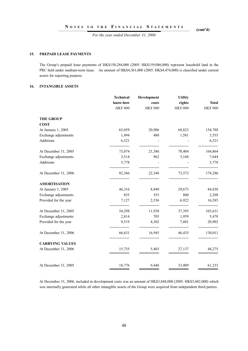*For the year ended December 31, 2006* 

## **15. PREPAID LEASE PAYMENTS**

The Group's prepaid lease payments of HK\$150,284,000 (2005: HK\$159,086,000) represent leasehold land in the PRC held under medium-term lease. An amount of HK\$4,361,000 (2005: HK\$4,474,000) is classified under current assets for reporting purpose.

## **16. INTANGIBLE ASSETS**

|                        | Technical | Development | <b>Utility</b> |              |
|------------------------|-----------|-------------|----------------|--------------|
|                        | know-how  | costs       | rights         | <b>Total</b> |
|                        | HK\$'000  | HK\$'000    | HK\$'000       | HK\$'000     |
| <b>THE GROUP</b>       |           |             |                |              |
| <b>COST</b>            |           |             |                |              |
| At January 1, 2005     | 65,059    | 20,906      | 68,823         | 154,788      |
| Exchange adjustments   | 1,494     | 480         | 1,581          | 3,555        |
| Additions              | 6,521     |             |                | 6,521        |
| At December 31, 2005   | 73,074    | 21,386      | 70,404         | 164,864      |
| Exchange adjustments   | 3,514     | 962         | 3,168          | 7,644        |
| Additions              | 5,778     |             |                | 5,778        |
| At December 31, 2006   | 82,366    | 22,348      | 73,572         | 178,286      |
| <b>AMORTISATION</b>    |           |             |                |              |
| At January 1, 2005     | 46,316    | 8,849       | 29,673         | 84,838       |
| Exchange adjustments   | 855       | 553         | 800            | 2,208        |
| Provided for the year  | 7,127     | 2,536       | 6,922          | 16,585       |
| At December 31, 2005   | 54,298    | 11,938      | 37,395         | 103,631      |
| Exchange adjustments   | 2,814     | 705         | 1,959          | 5,478        |
| Provided for the year  | 9,519     | 4,302       | 7,081          | 20,902       |
| At December 31, 2006   | 66,631    | 16,945      | 46,435         | 130,011      |
| <b>CARRYING VALUES</b> |           |             |                |              |
| At December 31, 2006   | 15,735    | 5,403       | 27,137         | 48,275       |
| At December 31, 2005   | 18,776    | 9,448       | 33,009         | 61,233       |

At December 31, 2006, included in development costs was an amount of HK\$3,848,000 (2005: HK\$3,682,000) which was internally generated while all other intangible assets of the Group were acquired from independent third parties.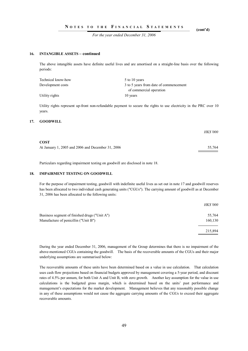*For the year ended December 31, 2006* 

#### **16. INTANGIBLE ASSETS – continued**

The above intangible assets have definite useful lives and are amortised on a straight-line basis over the following periods:

| Technical know-how | 5 to 10 years                          |
|--------------------|----------------------------------------|
| Development costs  | 3 to 5 years from date of commencement |
|                    | of commercial operation                |
| Utility rights     | 10 years                               |

Utility rights represent up-front non-refundable payment to secure the rights to use electricity in the PRC over 10 years.

### **17. GOODWILL**

|                                                                  | <i>HK\$'000</i> |
|------------------------------------------------------------------|-----------------|
| <b>COST</b><br>At January 1, 2005 and 2006 and December 31, 2006 | 55.764          |
|                                                                  |                 |

Particulars regarding impairment testing on goodwill are disclosed in note 18.

# **18. IMPAIRMENT TESTING ON GOODWILL**

For the purpose of impairment testing, goodwill with indefinite useful lives as set out in note 17 and goodwill reserves has been allocated to two individual cash generating units ("CGUs"). The carrying amount of goodwill as at December 31, 2006 has been allocated to the following units:

|                                               | <i>HK\$'000</i> |
|-----------------------------------------------|-----------------|
| Business segment of finished drugs ("Unit A") | 55,764          |
| Manufacture of penicillin ("Unit B")          | 160,130         |
|                                               | 215,894         |

During the year ended December 31, 2006, management of the Group determines that there is no impairment of the above-mentioned CGUs containing the goodwill. The basis of the recoverable amounts of the CGUs and their major underlying assumptions are summarised below:

The recoverable amounts of these units have been determined based on a value in use calculation. That calculation uses cash flow projections based on financial budgets approved by management covering a 5-year period, and discount rates of 4.5% per annum, for both Unit A and Unit B, with zero growth. Another key assumption for the value in use calculations is the budgeted gross margin, which is determined based on the units' past performance and management's expectations for the market development. Management believes that any reasonably possible change in any of these assumptions would not cause the aggregate carrying amounts of the CGUs to exceed their aggregate recoverable amounts.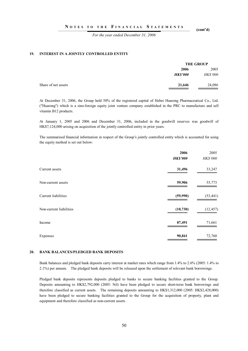*For the year ended December 31, 2006* 

#### **19. INTEREST IN A JOINTLY CONTROLLED ENTITY**

|                     | <b>THE GROUP</b> |                 |
|---------------------|------------------|-----------------|
|                     | 2006             | 2005            |
|                     | <b>HK\$'000</b>  | <b>HK\$'000</b> |
| Share of net assets | 21,646           | 24,086          |

At December 31, 2006, the Group held 50% of the registered capital of Hebei Huarong Pharmaceutical Co., Ltd. ("Huarong") which is a sino-foreign equity joint venture company established in the PRC to manufacture and sell vitamin B12 products.

At January 1, 2005 and 2006 and December 31, 2006, included in the goodwill reserves was goodwill of HK\$7,124,000 arising on acquisition of the jointly controlled entity in prior years.

The summarised financial information in respect of the Group's jointly controlled entity which is accounted for using the equity method is set out below:

|                         | 2006<br><b>HK\$'000</b> | 2005<br>HK\$'000 |
|-------------------------|-------------------------|------------------|
| Current assets          | 31,496                  | 33,247           |
| Non-current assets      | 59,906                  | 55,773           |
| Current liabilities     | (59,990)                | (53, 441)        |
| Non-current liabilities | (10, 730)               | (12, 457)        |
| Income                  | 87,491                  | 71,661           |
| Expenses                | 90,841                  | 72,760           |

#### **20. BANK BALANCES/PLEDGED BANK DEPOSITS**

Bank balances and pledged bank deposits carry interest at market rates which range from 1.4% to 2.6% (2005: 1.4% to 2.1%) per annum. The pledged bank deposits will be released upon the settlement of relevant bank borrowings.

Pledged bank deposits represents deposits pledged to banks to secure banking facilities granted to the Group. Deposits amounting to HK\$2,792,000 (2005: Nil) have been pledged to secure short-term bank borrowings and therefore classified as current assets. The remaining deposits amounting to HK\$1,312,000 (2005: HK\$2,428,000) have been pledged to secure banking facilities granted to the Group for the acquisition of property, plant and equipment and therefore classified as non-current assets.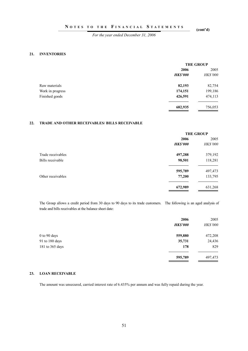*For the year ended December 31, 2006* 

# **21. INVENTORIES**

|                  |                 | <b>THE GROUP</b> |  |
|------------------|-----------------|------------------|--|
|                  | 2006            | 2005             |  |
|                  | <b>HK\$'000</b> | <b>HK\$'000</b>  |  |
| Raw materials    | 82,193          | 82,754           |  |
| Work in progress | 174,151         | 199,186          |  |
| Finished goods   | 426,591         | 474,113          |  |
|                  | 682,935         | 756,053          |  |

#### **22. TRADE AND OTHER RECEIVABLES/ BILLS RECEIVABLE**

|                   | <b>THE GROUP</b> |                 |
|-------------------|------------------|-----------------|
|                   | 2006             | 2005            |
|                   | <b>HK\$'000</b>  | <i>HK\$'000</i> |
| Trade receivables | 497,288          | 379,192         |
| Bills receivable  | 98,501           | 118,281         |
|                   | 595,789          | 497,473         |
| Other receivables | 77,200           | 133,795         |
|                   | 672,989          | 631,268         |

The Group allows a credit period from 30 days to 90 days to its trade customers. The following is an aged analysis of trade and bills receivables at the balance sheet date:

|                 | 2006<br><b>HK\$'000</b> | 2005<br>HK\$'000 |
|-----------------|-------------------------|------------------|
| 0 to 90 days    | 559,880                 | 472,208          |
| 91 to 180 days  | 35,731                  | 24,436           |
| 181 to 365 days | 178                     | 829              |
|                 | 595,789                 | 497,473          |

## **23. LOAN RECEIVABLE**

The amount was unsecured, carried interest rate of 6.435% per annum and was fully repaid during the year.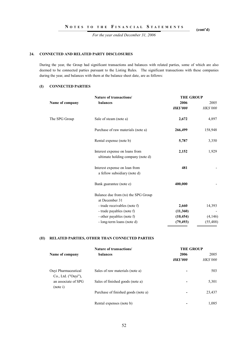*For the year ended December 31, 2006* 

# **24. CONNECTED AND RELATED PARTY DISCLOSURES**

During the year, the Group had significant transactions and balances with related parties, some of which are also deemed to be connected parties pursuant to the Listing Rules. The significant transactions with these companies during the year, and balances with them at the balance sheet date, are as follows:

# **(I) CONNECTED PARTIES**

| Nature of transactions/ |                                                                     | <b>THE GROUP</b> |                 |
|-------------------------|---------------------------------------------------------------------|------------------|-----------------|
| Name of company         | balances                                                            | 2006             | 2005            |
|                         |                                                                     | <b>HK\$'000</b>  | <b>HK\$'000</b> |
| The SPG Group           | Sale of steam (note a)                                              | 2,672            | 4,897           |
|                         | Purchase of raw materials (note a)                                  | 266,499          | 158,948         |
|                         | Rental expense (note b)                                             | 5,787            | 3,350           |
|                         | Interest expense on loans from<br>ultimate holding company (note d) | 2,152            | 1,929           |
|                         | Interest expense on loan from<br>a fellow subsidiary (note d)       | 481              |                 |
|                         | Bank guarantee (note e)                                             | 400,000          |                 |
|                         | Balance due from (to) the SPG Group<br>at December 31               |                  |                 |
|                         | - trade receivables (note f)                                        | 2,660            | 14,393          |
|                         | - trade payables (note f)                                           | (11,360)         |                 |
|                         | - other payables (note f)                                           | (10, 454)        | (4,146)         |
|                         | - long-term loans (note d)                                          | (79, 493)        | (55, 488)       |
|                         |                                                                     |                  |                 |

# **(II) RELATED PARTIES, OTHER THAN CONNECTED PARTIES**

|                                              | Nature of transactions/             | <b>THE GROUP</b> |                 |
|----------------------------------------------|-------------------------------------|------------------|-----------------|
| Name of company                              | <b>balances</b>                     | 2006             | 2005            |
|                                              |                                     | <b>HK\$'000</b>  | <i>HK\$'000</i> |
| Ouyi Pharmaceutical<br>$Co., Ltd.$ ("Ouyi"), | Sales of raw materials (note a)     |                  | 503             |
| an associate of SPG<br>(note i)              | Sales of finished goods (note a)    |                  | 5,301           |
|                                              | Purchase of finished goods (note a) |                  | 23,437          |
|                                              | Rental expenses (note b)            |                  | 1,085           |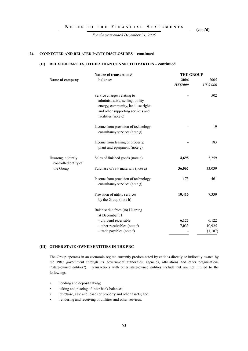*For the year ended December 31, 2006* 

## **24. CONNECTED AND RELATED PARTY DISCLOSURES – continued**

## **(II) RELATED PARTIES, OTHER THAN CONNECTED PARTIES – continued**

|                                            | Nature of transactions/                                                                                                                                            | <b>THE GROUP</b>        |                  |
|--------------------------------------------|--------------------------------------------------------------------------------------------------------------------------------------------------------------------|-------------------------|------------------|
| Name of company                            | balances                                                                                                                                                           | 2006<br><b>HK\$'000</b> | 2005<br>HK\$'000 |
|                                            | Service charges relating to<br>administrative, selling, utility,<br>energy, community, land use rights<br>and other supporting services and<br>facilities (note c) |                         | 502              |
|                                            | Income from provision of technology<br>consultancy services (note g)                                                                                               |                         | 19               |
|                                            | Income from leasing of property,<br>plant and equipment (note g)                                                                                                   |                         | 183              |
| Huarong, a jointly<br>controlled entity of | Sales of finished goods (note a)                                                                                                                                   | 4,695                   | 3,259            |
| the Group                                  | Purchase of raw materials (note a)                                                                                                                                 | 36,062                  | 33,039           |
|                                            | Income from provision of technology<br>consultancy services (note g)                                                                                               | 173                     | 461              |
|                                            | Provision of utility services<br>by the Group (note h)                                                                                                             | 10,416                  | 7,339            |
|                                            | Balance due from (to) Huarong<br>at December 31                                                                                                                    |                         |                  |
|                                            | - dividend receivable                                                                                                                                              | 6,122                   | 6,122            |
|                                            | - other receivables (note f)                                                                                                                                       | 7,033                   | 10,925           |
|                                            | - trade payables (note f)                                                                                                                                          |                         | (3,107)          |

## **(III) OTHER STATE-OWNED ENTITIES IN THE PRC**

The Group operates in an economic regime currently predominated by entities directly or indirectly owned by the PRC government through its government authorities, agencies, affiliations and other organisations ("state-owned entities"). Transactions with other state-owned entities include but are not limited to the followings:

- lending and deposit taking;
- taking and placing of inter-bank balances;
- purchase, sale and leases of property and other assets; and
- rendering and receiving of utilities and other services.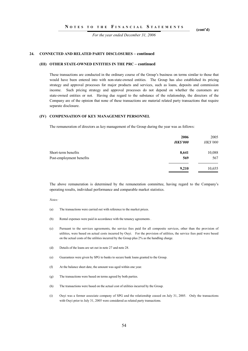*For the year ended December 31, 2006* 

#### **24. CONNECTED AND RELATED PARTY DISCLOSURES – continued**

#### **(III) OTHER STATE-OWNED ENTITIES IN THE PRC – continued**

These transactions are conducted in the ordinary course of the Group's business on terms similar to those that would have been entered into with non-state-owned entities. The Group has also established its pricing strategy and approval processes for major products and services, such as loans, deposits and commission income. Such pricing strategy and approval processes do not depend on whether the customers are state-owned entities or not. Having due regard to the substance of the relationship, the directors of the Company are of the opinion that none of these transactions are material related party transactions that require separate disclosure.

## **(IV) COMPENSATION OF KEY MANAGEMENT PERSONNEL**

The remuneration of directors as key management of the Group during the year was as follows:

| 2006            | 2005            |
|-----------------|-----------------|
| <b>HK\$'000</b> | <i>HK\$'000</i> |
| 8,641           | 10,088          |
| 569             | 567             |
| 9,210           | 10,655          |
|                 |                 |

The above remuneration is determined by the remuneration committee, having regard to the Company's operating results, individual performance and comparable market statistics.

*Notes:* 

- (a) The transactions were carried out with reference to the market prices.
- (b) Rental expenses were paid in accordance with the tenancy agreements .
- (c) Pursuant to the services agreements, the service fees paid for all composite services, other than the provision of utilities, were based on actual costs incurred by Ouyi. For the provision of utilities, the service fees paid were based on the actual costs of the utilities incurred by the Group plus 2% as the handling charge.
- (d) Details of the loans are set out in note 27 and note 28.
- (e) Guarantees were given by SPG to banks to secure bank loans granted to the Group.
- (f) At the balance sheet date, the amount was aged within one year.
- (g) The transactions were based on terms agreed by both parties.
- (h) The transactions were based on the actual cost of utilities incurred by the Group.
- (i) Ouyi was a former associate company of SPG and the relationship ceased on July 31, 2005. Only the transactions with Ouyi prior to July 31, 2005 were considered as related party transactions.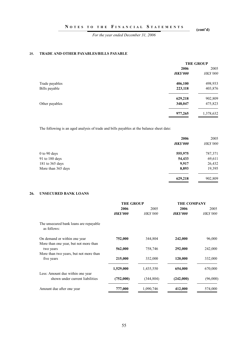# **N OTES TO THE F INANCIAL S T A T E M E N T S**

**(cont'd)** 

*For the year ended December 31, 2006* 

# **25. TRADE AND OTHER PAYABLES/BILLS PAYABLE**

|                | <b>THE GROUP</b> |                 |
|----------------|------------------|-----------------|
|                | 2006             | 2005            |
|                | <b>HK\$'000</b>  | <b>HK\$'000</b> |
| Trade payables | 406,100          | 498,933         |
| Bills payable  | 223,118          | 403,876         |
|                | 629,218          | 902,809         |
| Other payables | 348,047          | 475,823         |
|                | 977,265          | 1,378,632       |

The following is an aged analysis of trade and bills payables at the balance sheet date:

|                    | 2006<br><b>HK\$'000</b> | 2005<br><b>HK\$'000</b> |
|--------------------|-------------------------|-------------------------|
|                    |                         |                         |
| $0$ to 90 days     | 555,975                 | 787,371                 |
| 91 to 180 days     | 54,433                  | 69,611                  |
| 181 to 365 days    | 9,917                   | 26,432                  |
| More than 365 days | 8,893                   | 19,395                  |
|                    | 629,218                 | 902,809                 |

# **26. UNSECURED BANK LOANS**

|                                                                       | <b>THE GROUP</b> |                 | <b>THE COMPANY</b> |                 |
|-----------------------------------------------------------------------|------------------|-----------------|--------------------|-----------------|
|                                                                       | 2006             | 2005            | 2006               | 2005            |
|                                                                       | <b>HK\$'000</b>  | <b>HK\$'000</b> | <b>HK\$'000</b>    | <b>HK\$'000</b> |
| The unsecured bank loans are repayable.<br>as follows:                |                  |                 |                    |                 |
| On demand or within one year<br>More than one year, but not more than | 752,000          | 344,804         | 242,000            | 96,000          |
| two years                                                             | 562,000          | 758,746         | 292,000            | 242,000         |
| More than two years, but not more than                                |                  |                 |                    |                 |
| five years                                                            | 215,000          | 332,000         | 120,000            | 332,000         |
|                                                                       | 1,529,000        | 1,435,550       | 654,000            | 670,000         |
| Less: Amount due within one year<br>shown under current liabilities   | (752,000)        | (344, 804)      | (242,000)          | (96,000)        |
| Amount due after one year                                             | 777,000          | 1,090,746       | 412,000            | 574,000         |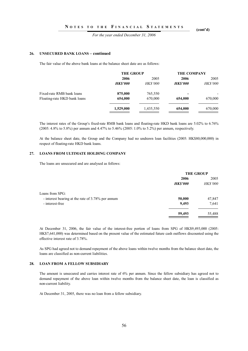*For the year ended December 31, 2006* 

## **26. UNSECURED BANK LOANS – continued**

The fair value of the above bank loans at the balance sheet date are as follows:

|                              | <b>THE GROUP</b> |                 | <b>THE COMPANY</b> |                 |
|------------------------------|------------------|-----------------|--------------------|-----------------|
|                              | 2006             | 2005            | 2006               | 2005            |
|                              | <b>HKS'000</b>   | <b>HK\$'000</b> | <b>HKS'000</b>     | <i>HK\$'000</i> |
| Fixed-rate RMB bank loans    | 875,000          | 765,550         |                    |                 |
| Floating-rate HKD bank loans | 654,000          | 670,000         | 654,000            | 670,000         |
|                              | 1,529,000        | 1,435,550       | 654,000            | 670,000         |
|                              |                  |                 |                    |                 |

The interest rates of the Group's fixed-rate RMB bank loans and floating-rate HKD bank loans are 5.02% to 6.76% (2005: 4.8% to 5.8%) per annum and 4.47% to 5.46% (2005: 1.0% to 5.2%) per annum, respectively.

At the balance sheet date, the Group and the Company had no undrawn loan facilities (2005: HK\$80,000,000) in respect of floating-rate HKD bank loans.

## **27. LOANS FROM ULTIMATE HOLDING COMPANY**

The loans are unsecured and are analysed as follows:

|                                                   | <b>THE GROUP</b> |                 |  |
|---------------------------------------------------|------------------|-----------------|--|
|                                                   | 2006             | 2005            |  |
|                                                   | <b>HK\$'000</b>  | <i>HK\$'000</i> |  |
| Loans from SPG:                                   |                  |                 |  |
| - interest bearing at the rate of 3.78% per annum | 50,000           | 47,847          |  |
| - interest-free                                   | 9,493            | 7,641           |  |
|                                                   | 59,493           | 55,488          |  |

At December 31, 2006, the fair value of the interest-free portion of loans from SPG of HK\$9,493,000 (2005: HK\$7,641,000) was determined based on the present value of the estimated future cash outflows discounted using the effective interest rate of 3.78%.

As SPG had agreed not to demand repayment of the above loans within twelve months from the balance sheet date, the loans are classified as non-current liabilities.

## **28. LOAN FROM A FELLOW SUBSIDIARY**

The amount is unsecured and carries interest rate of 6% per annum. Since the fellow subsidiary has agreed not to demand repayment of the above loan within twelve months from the balance sheet date, the loan is classified as non-current liability.

At December 31, 2005, there was no loan from a fellow subsidiary.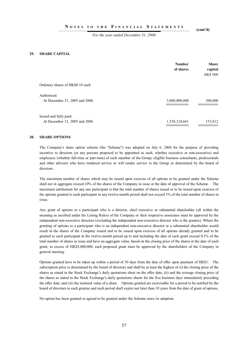*For the year ended December 31, 2006* 

#### **29. SHARE CAPITAL**

|                                                         | <b>Number</b><br>of shares | <b>Share</b><br>capital<br><b>HK\$'000</b> |
|---------------------------------------------------------|----------------------------|--------------------------------------------|
| Ordinary shares of HK\$0.10 each                        |                            |                                            |
| Authorised:<br>At December 31, 2005 and 2006            | 3,000,000,000              | 300,000                                    |
| Issued and fully paid:<br>At December 31, 2005 and 2006 | 1,538,124,661              | 153,812                                    |

#### **30. SHARE OPTIONS**

The Company's share option scheme (the "Scheme") was adopted on July 6, 2004 for the purpose of providing incentive to directors (or any persons proposed to be appointed as such, whether executive or non-executive) and employees (whether full-time or part-time) of each member of the Group; eligible business consultants, professionals and other advisers who have rendered service or will render service to the Group as determined by the board of directors.

The maximum number of shares which may be issued upon exercise of all options to be granted under the Scheme shall not in aggregate exceed 10% of the shares of the Company in issue at the date of approval of the Scheme. The maximum entitlement for any one participant is that the total number of shares issued or to be issued upon exercise of the options granted to each participant in any twelve-month period shall not exceed 1% of the total number of shares in issue.

Any grant of options to a participant who is a director, chief executive or substantial shareholder (all within the meaning as ascribed under the Listing Rules) of the Company or their respective associates must be approved by the independent non-executive directors (excluding the independent non-executive director who is the grantee). Where the granting of options to a participant who is an independent non-executive director or a substantial shareholder would result in the shares of the Company issued and to be issued upon exercise of all options already granted and to be granted to such participant in the twelve-month period up to and including the date of such grant exceed 0.1% of the total number of shares in issue and have an aggregate value, based on the closing price of the shares at the date of each grant, in excess of HK\$5,000,000, such proposed grant must be approved by the shareholders of the Company in general meeting.

Options granted have to be taken up within a period of 30 days from the date of offer upon payment of HK\$1. The subscription price is determined by the board of directors and shall be at least the highest of (i) the closing price of the shares as stated in the Stock Exchange's daily quotations sheet on the offer date; (ii) and the average closing price of the shares as stated in the Stock Exchange's daily quotations sheets for the five business days immediately preceding the offer date; and (iii) the nominal value of a share. Options granted are exercisable for a period to be notified by the board of directors to each grantee and such period shall expire not later than 10 years from the date of grant of options.

No option has been granted or agreed to be granted under the Scheme since its adoption.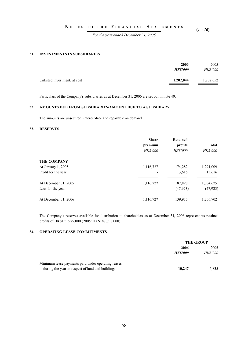**N OTES TO THE F INANCIAL S T A T E M E N T S** 

**(cont'd)** 

*For the year ended December 31, 2006* 

# **31. INVESTMENTS IN SUBSIDIARIES**

|                              | 2006<br><b>HKS'000</b> | 2005<br><b>HK\$'000</b> |
|------------------------------|------------------------|-------------------------|
| Unlisted investment, at cost | 1,202,044              | 1,202,052               |

Particulars of the Company's subsidiaries as at December 31, 2006 are set out in note 40.

# **32. AMOUNTS DUE FROM SUBSIDIARIES/AMOUNT DUE TO A SUBSIDIARY**

The amounts are unsecured, interest-free and repayable on demand.

## **33. RESERVES**

|                      | <b>Share</b><br>premium<br><b>HK\$'000</b> | Retained<br>profits<br><b>HK\$'000</b> | <b>Total</b><br><b>HK\$'000</b> |
|----------------------|--------------------------------------------|----------------------------------------|---------------------------------|
| <b>THE COMPANY</b>   |                                            |                                        |                                 |
| At January 1, 2005   | 1,116,727                                  | 174,282                                | 1,291,009                       |
| Profit for the year  |                                            | 13,616                                 | 13,616                          |
| At December 31, 2005 | 1,116,727                                  | 187,898                                | 1,304,625                       |
| Loss for the year    |                                            | (47, 923)                              | (47, 923)                       |
| At December 31, 2006 | 1,116,727                                  | 139,975                                | 1,256,702                       |

The Company's reserves available for distribution to shareholders as at December 31, 2006 represent its retained profits of HK\$139,975,000 (2005: HK\$187,898,000).

# **34. OPERATING LEASE COMMITMENTS**

|                                                    | <b>THE GROUP</b> |                 |  |
|----------------------------------------------------|------------------|-----------------|--|
|                                                    | 2006             | 2005            |  |
|                                                    | <b>HKS'000</b>   | <i>HK\$'000</i> |  |
| Minimum lease payments paid under operating leases |                  |                 |  |
| during the year in respect of land and buildings   | 10,247           | 6,835           |  |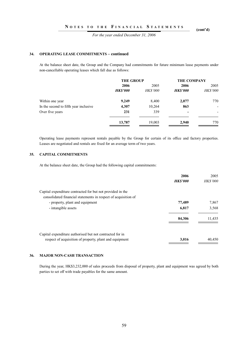*For the year ended December 31, 2006* 

## **34. OPERATING LEASE COMMITMENTS – continued**

At the balance sheet date, the Group and the Company had commitments for future minimum lease payments under non-cancellable operating leases which fall due as follows:

|                                        | <b>THE GROUP</b> |                 | <b>THE COMPANY</b> |                          |
|----------------------------------------|------------------|-----------------|--------------------|--------------------------|
|                                        | 2006             | 2005            | 2006               | 2005                     |
|                                        | <b>HK\$'000</b>  | <b>HK\$'000</b> | <b>HK\$'000</b>    | <b>HK\$'000</b>          |
| Within one year                        | 9,249            | 8,400           | 2,077              | 770                      |
| In the second to fifth year inclusive. | 4,307            | 10,264          | 863                | $\overline{\phantom{a}}$ |
| Over five years                        | 231              | 339             |                    |                          |
|                                        | 13,787           | 19,003          | 2,940              | 770                      |

Operating lease payments represent rentals payable by the Group for certain of its office and factory properties. Leases are negotiated and rentals are fixed for an average term of two years.

# **35. CAPITAL COMMITMENTS**

At the balance sheet date, the Group had the following capital commitments:

|                                                                | 2006            | 2005            |
|----------------------------------------------------------------|-----------------|-----------------|
|                                                                | <b>HK\$'000</b> | <b>HK\$'000</b> |
| Capital expenditure contracted for but not provided in the     |                 |                 |
| consolidated financial statements in respect of acquisition of |                 |                 |
| - property, plant and equipment                                | 77,489          | 7,867           |
| - intangible assets                                            | 6,817           | 3,568           |
|                                                                | 84,306          | 11,435          |
| Capital expenditure authorised but not contracted for in       |                 |                 |
| respect of acquisition of property, plant and equipment        | 3,016           | 40,450          |

## **36. MAJOR NON-CASH TRANSACTION**

During the year, HK\$3,232,000 of sales proceeds from disposal of property, plant and equipment was agreed by both parties to set off with trade payables for the same amount.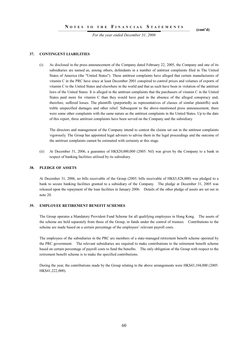*For the year ended December 31, 2006* 

**(cont'd)** 

## **37. CONTINGENT LIABILITIES**

(i) As disclosed in the press announcement of the Company dated February 22, 2005, the Company and one of its subsidiaries are named as, among others, defendants in a number of antitrust complaints filed in The United States of America (the "United States"). These antitrust complaints have alleged that certain manufacturers of vitamin C in the PRC have since at least December 2001 conspired to control prices and volumes of exports of vitamin C to the United States and elsewhere in the world and that as such have been in violation of the antitrust laws of the United States. It is alleged in the antitrust complaints that the purchasers of vitamin C in the United States paid more for vitamin C than they would have paid in the absence of the alleged conspiracy and, therefore, suffered losses. The plaintiffs (purportedly as representatives of classes of similar plaintiffs) seek treble unspecified damages and other relief. Subsequent to the above-mentioned press announcement, there were some other complaints with the same nature as the antitrust complaints in the United States. Up to the date of this report, three antitrust complaints have been served on the Company and the subsidiary.

The directors and management of the Company intend to contest the claims set out in the antitrust complaints vigorously. The Group has appointed legal advisers to advise them in the legal proceedings and the outcome of the antitrust complaints cannot be estimated with certainty at this stage.

(ii) At December 31, 2006, a guarantee of HK\$20,000,000 (2005: Nil) was given by the Company to a bank in respect of banking facilities utilised by its subsidiary.

## **38. PLEDGE OF ASSETS**

At December 31, 2006, no bills receivable of the Group (2005: bills receivable of HK\$3,828,000) was pledged to a bank to secure banking facilities granted to a subsidiary of the Company. The pledge at December 31, 2005 was released upon the repayment of the loan facilities in January 2006. Details of the other pledge of assets are set out in note 20.

## **39. EMPLOYEE RETIREMENT BENEFIT SCHEMES**

The Group operates a Mandatory Provident Fund Scheme for all qualifying employees in Hong Kong. The assets of the scheme are held separately from those of the Group, in funds under the control of trustees. Contributions to the scheme are made based on a certain percentage of the employees' relevant payroll costs.

The employees of the subsidiaries in the PRC are members of a state-managed retirement benefit scheme operated by the PRC government. The relevant subsidiaries are required to make contributions to the retirement benefit scheme based on certain percentage of payroll costs to fund the benefits. The only obligation of the Group with respect to the retirement benefit scheme is to make the specified contributions.

During the year, the contributions made by the Group relating to the above arrangements were HK\$43,104,000 (2005: HK\$41,222,000).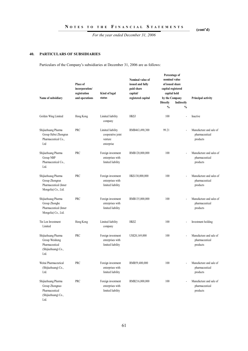*For the year ended December 31, 2006* 

# **40. PARTICULARS OF SUBSIDIARIES**

Particulars of the Company's subsidiaries at December 31, 2006 are as follows:

| Name of subsidiary                                                                     | Place of<br>incorporation/<br>registration<br>and operations | Kind of legal<br>status                                         | Nominal value of<br>issued and fully<br>paid share<br>capital/<br>registered capital | Percentage of<br>nominal value<br>of issued share<br>capital registered<br>capital held<br>by the Company<br><b>Directly</b> | <b>Indirectly</b>        | Principal activity                                     |
|----------------------------------------------------------------------------------------|--------------------------------------------------------------|-----------------------------------------------------------------|--------------------------------------------------------------------------------------|------------------------------------------------------------------------------------------------------------------------------|--------------------------|--------------------------------------------------------|
|                                                                                        |                                                              |                                                                 |                                                                                      | $\frac{0}{0}$                                                                                                                | $\%$                     |                                                        |
| Golden Wing Limited                                                                    | Hong Kong                                                    | Limited liability<br>company                                    | HK\$3                                                                                | 100                                                                                                                          | $\overline{\phantom{a}}$ | Inactive                                               |
| Shijiazhuang Pharma<br>Group Hebei Zhongrun<br>Pharmaceutical Co.,<br>Ltd              | PRC                                                          | Limited liability<br>cooperative joint<br>venture<br>enterprise | RMB463,490,300                                                                       | 99.21                                                                                                                        |                          | Manufacture and sale of<br>pharmaceutical<br>products  |
| Shijiazhuang Pharma<br>Group NBP<br>Pharmaceutical Co.,<br>Ltd.                        | PRC                                                          | Foreign investment<br>enterprises with<br>limited liability     | RMB120,000,000                                                                       | 100                                                                                                                          | $\overline{a}$           | Manufacture and sales of<br>pharmaceutical<br>products |
| Shijiazhuaug Pharma<br>Group Zhongrun<br>Pharmaceutical (Inner<br>Mongolia) Co., Ltd.  | PRC                                                          | Foreign investment<br>enterprises with<br>limited liability     | HK\$130,000,000                                                                      | 100                                                                                                                          |                          | Manufacture and sales of<br>pharmaceutical<br>products |
| Shijiazhuaug Pharma<br>Group Zhonghe<br>Pharmaceutical (Inner<br>Mongolia) Co., Ltd.   | PRC                                                          | Foreign investment<br>enterprises with<br>limited liability     | RMB135,000,000                                                                       | 100                                                                                                                          | ÷,                       | Manufacture and sales of<br>pharmaceutical<br>products |
| Tin Lon Investment<br>Limited                                                          | Hong Kong                                                    | Limited liability<br>company                                    | <b>HK\$2</b>                                                                         | 100                                                                                                                          |                          | Investment holding                                     |
| Shijiazhuang Pharma<br>Group Weisheng<br>Pharmaceutical<br>(Shijiazhuang) Co.,<br>Ltd. | PRC                                                          | Foreign investment<br>enterprises with<br>limited liability     | US\$20,169,000                                                                       | 100                                                                                                                          |                          | Manufacture and sale of<br>pharmaceutical<br>products  |
| Weitai Pharmaceutical<br>(Shijiazhuang) Co.,<br>Ltd.                                   | PRC                                                          | Foreign investment<br>enterprises with<br>limited liability     | RMB59,400,000                                                                        | 100                                                                                                                          |                          | Manufacture and sale of<br>pharmaceutical<br>products  |
| Shijiazhuang Pharma<br>Group Zhongnuo<br>Pharmaceutical<br>(Shijiazhuang) Co.,<br>Ltd. | PRC                                                          | Foreign investment<br>enterprises with<br>limited liability     | RMB216,000,000                                                                       | 100                                                                                                                          |                          | Manufacture and sale of<br>pharmaceutical<br>products  |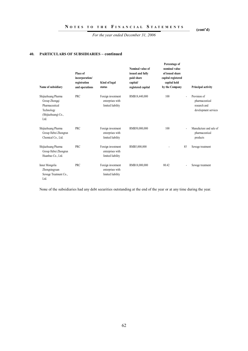**N OTES TO THE F INANCIAL S T A T E M E N T S** 

**(cont'd)** 

*For the year ended December 31, 2006* 

# **40. PARTICULARS OF SUBSIDIARIES – continued**

| Name of subsidiary                                                                                  | Place of<br>incorporation/<br>registration<br>and operations | Kind of legal<br>status                                     | Nominal value of<br>issued and fully<br>paid share<br>capital/<br>registered capital | Percentage of<br>nominal value<br>of issued share<br>capital registered<br>capital held<br>by the Company |                          | Principal activity                                                     |
|-----------------------------------------------------------------------------------------------------|--------------------------------------------------------------|-------------------------------------------------------------|--------------------------------------------------------------------------------------|-----------------------------------------------------------------------------------------------------------|--------------------------|------------------------------------------------------------------------|
| Shijiazhuang Pharma<br>Group Zhongqi<br>Pharmaceutical<br>Technology<br>(Shijiazhuang) Co.,<br>Ltd. | <b>PRC</b>                                                   | Foreign investment<br>enterprises with<br>limited liability | RMB18,440,000                                                                        | 100                                                                                                       | $\overline{\phantom{a}}$ | Provision of<br>pharmaceutical<br>research and<br>development services |
| Shijiazhuang Pharma<br>Group Hebei Zhongrun<br>Chemical Co., Ltd.                                   | <b>PRC</b>                                                   | Foreign investment<br>enterprises with<br>limited liability | RMB50,000,000                                                                        | 100                                                                                                       | ÷,                       | Manufacture and sale of<br>pharmaceutical<br>products                  |
| Shijiazhuang Pharma<br>Group Hebei Zhongrun<br>Huanbao Co., Ltd.                                    | PRC                                                          | Foreign investment<br>enterprises with<br>limited liability | RMB5,000,000                                                                         |                                                                                                           | 85                       | Sewage treatment                                                       |
| Inner Mongolia<br>Zhongxingyuan<br>Sewage Treatment Co.,<br>Ltd.                                    | PRC                                                          | Foreign investment<br>enterprises with<br>limited liability | RMB18,000,000                                                                        | 80.42                                                                                                     |                          | Sewage treatment                                                       |

None of the subsidiaries had any debt securities outstanding at the end of the year or at any time during the year.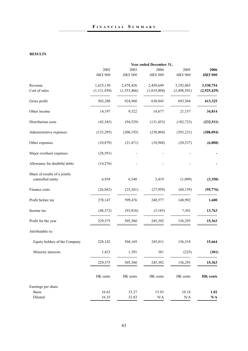# **RESULTS**

|                                                    |                            |                            | Year ended December 31,  |                          |                          |
|----------------------------------------------------|----------------------------|----------------------------|--------------------------|--------------------------|--------------------------|
|                                                    | 2002<br>HK\$'000           | 2003<br>HK\$'000           | 2004<br>HK\$'000         | 2005<br>HK\$'000         | 2006<br><b>HK\$'000</b>  |
| Revenue<br>Cost of sales                           | 1,625,130<br>(1, 121, 850) | 2,478,426<br>(1, 553, 466) | 2,450,649<br>(1,819,804) | 3,192,065<br>(2,498,501) | 3,538,754<br>(2,925,429) |
| Gross profit                                       | 503,280                    | 924,960                    | 630,845                  | 693,564                  | 613,325                  |
| Other income                                       | 14,197                     | 9,522                      | 14,677                   | 21,157                   | 34,814                   |
| Distribution costs                                 | (42, 545)                  | (94, 529)                  | (131, 453)               | (182, 723)               | (232, 511)               |
| Administrative expenses                            | (123, 295)                 | (200, 193)                 | (230,004)                | (293, 231)               | (308, 094)               |
| Other expenses                                     | (10, 879)                  | (21, 471)                  | (10, 948)                | (20, 537)                | (6, 808)                 |
| Major overhaul expenses                            | (28, 591)                  |                            |                          |                          |                          |
| Allowance for doubtful debts                       | (14,276)                   |                            |                          |                          |                          |
| Share of results of a jointly<br>controlled entity | 6,938                      | 6,548                      | 3,419                    | (1,099)                  | (3,350)                  |
| Finance costs                                      | (26, 682)                  | (25, 361)                  | (27,959)                 | (68, 139)                | (95, 776)                |
| Profit before tax                                  | 278,147                    | 599,476                    | 248,577                  | 148,992                  | 1,600                    |
| Income tax                                         | (48, 572)                  | (93, 916)                  | (3, 185)                 | 7,301                    | 13,763                   |
| Profit for the year                                | 229,575                    | 505,560                    | 245,392                  | 156,293                  | 15,363                   |
| Attributable to:                                   |                            |                            |                          |                          |                          |
| Equity holders of the Company                      | 228,142                    | 504,169                    | 245,011                  | 156,518                  | 15,664                   |
| Minority interests                                 | 1,433                      | 1,391                      | 381                      | (225)                    | (301)                    |
|                                                    | 229,575                    | 505,560                    | 245,392                  | 156,293                  | 15,363                   |
|                                                    | HK cents                   | HK cents                   | HK cents                 | HK cents                 | <b>HK</b> cents          |
| Earnings per share<br>Basic<br>Diluted             | 16.62<br>16.35             | 33.27<br>32.83             | 15.93<br>$\rm N/A$       | 10.18<br>$\rm N/A$       | 1.02<br>N/A              |